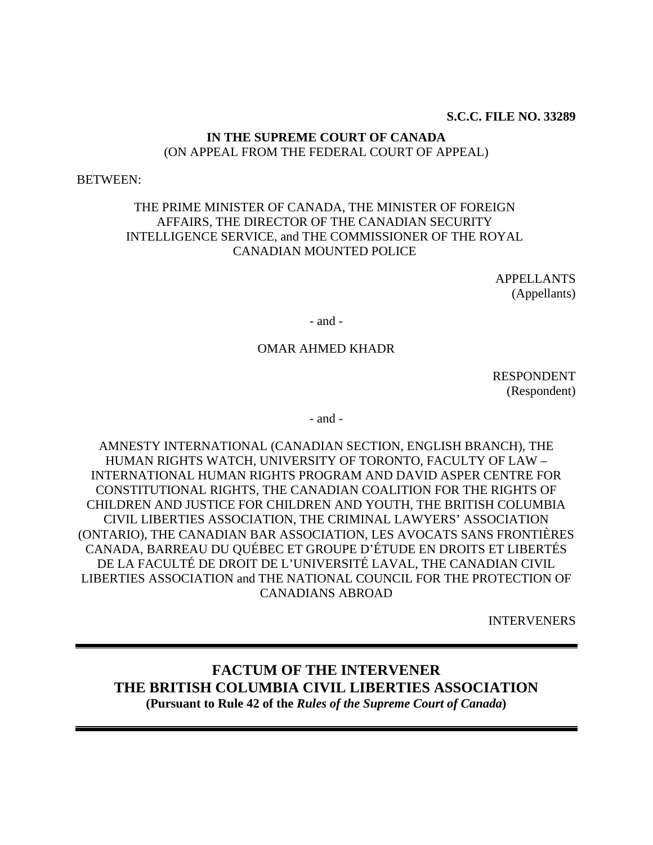#### **S.C.C. FILE NO. 33289**

#### **IN THE SUPREME COURT OF CANADA**  (ON APPEAL FROM THE FEDERAL COURT OF APPEAL)

#### BETWEEN:

## THE PRIME MINISTER OF CANADA, THE MINISTER OF FOREIGN AFFAIRS, THE DIRECTOR OF THE CANADIAN SECURITY INTELLIGENCE SERVICE, and THE COMMISSIONER OF THE ROYAL CANADIAN MOUNTED POLICE

APPELLANTS (Appellants)

- and -

#### OMAR AHMED KHADR

RESPONDENT (Respondent)

- and -

AMNESTY INTERNATIONAL (CANADIAN SECTION, ENGLISH BRANCH), THE HUMAN RIGHTS WATCH, UNIVERSITY OF TORONTO, FACULTY OF LAW – INTERNATIONAL HUMAN RIGHTS PROGRAM AND DAVID ASPER CENTRE FOR CONSTITUTIONAL RIGHTS, THE CANADIAN COALITION FOR THE RIGHTS OF CHILDREN AND JUSTICE FOR CHILDREN AND YOUTH, THE BRITISH COLUMBIA CIVIL LIBERTIES ASSOCIATION, THE CRIMINAL LAWYERS' ASSOCIATION (ONTARIO), THE CANADIAN BAR ASSOCIATION, LES AVOCATS SANS FRONTIÈRES CANADA, BARREAU DU QUÉBEC ET GROUPE D'ÉTUDE EN DROITS ET LIBERTÉS DE LA FACULTÉ DE DROIT DE L'UNIVERSITÉ LAVAL, THE CANADIAN CIVIL LIBERTIES ASSOCIATION and THE NATIONAL COUNCIL FOR THE PROTECTION OF CANADIANS ABROAD

INTERVENERS

## **FACTUM OF THE INTERVENER THE BRITISH COLUMBIA CIVIL LIBERTIES ASSOCIATION (Pursuant to Rule 42 of the** *Rules of the Supreme Court of Canada***)**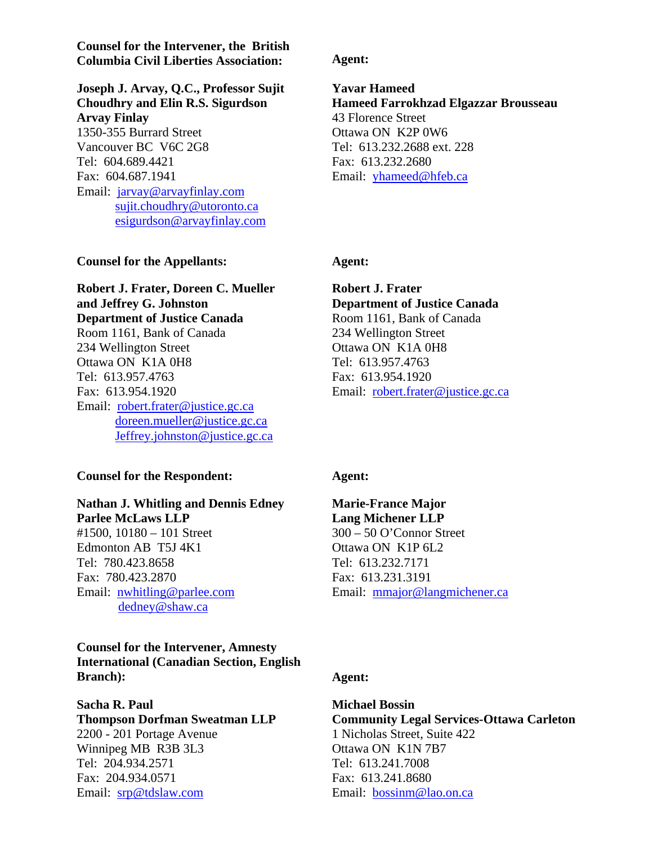**Counsel for the Intervener, the British Columbia Civil Liberties Association: Agent:**

**Joseph J. Arvay, Q.C., Professor Sujit Choudhry and Elin R.S. Sigurdson Arvay Finlay**  1350-355 Burrard Street Vancouver BC V6C 2G8 Tel: 604.689.4421

Fax: 604.687.1941 Email: [jarvay@arvayfinlay.com](mailto:jarvay@arvayfinlay.com) [sujit.choudhry@utoronto.ca](mailto:sujit.choudhry@utoronto.ca) [esigurdson@arvayfinlay.com](mailto:esigurdson@arvayfinlay.com)

#### **Counsel for the Appellants:** Agent:

**Robert J. Frater, Doreen C. Mueller and Jeffrey G. Johnston Department of Justice Canada**  Room 1161, Bank of Canada 234 Wellington Street Ottawa ON K1A 0H8 Tel: 613.957.4763 Fax: 613.954.1920 Email: [robert.frater@justice.gc.ca](mailto:robert.frater@justice.gc.ca) [doreen.mueller@justice.gc.ca](mailto:doreen.mueller@justice.gc.ca) [Jeffrey.johnston@justice.gc.ca](mailto:Jeffrey.johnston@justice.gc.ca)

#### **Counsel for the Respondent: Agent:**

## **Nathan J. Whitling and Dennis Edney Parlee McLaws LLP**

#1500, 10180 – 101 Street Edmonton AB T5J 4K1 Tel: 780.423.8658 Fax: 780.423.2870 Email: [nwhitling@parlee.com](mailto:nwhitling@parlee.com) [dedney@shaw.ca](mailto:dedney@shaw.ca)

#### **Counsel for the Intervener, Amnesty International (Canadian Section, English Branch**): **Agent: Agent:**

#### **Sacha R. Paul Thompson Dorfman Sweatman LLP**

2200 - 201 Portage Avenue Winnipeg MB R3B 3L3 Tel: 204.934.2571 Fax: 204.934.0571 Email: [srp@tdslaw.com](mailto:srp@tdslaw.com)

**Yavar Hameed Hameed Farrokhzad Elgazzar Brousseau**  43 Florence Street Ottawa ON K2P 0W6 Tel: 613.232.2688 ext. 228 Fax: 613.232.2680 Email: [yhameed@hfeb.ca](mailto:yhameed@hfeb.ca)

**Robert J. Frater Department of Justice Canada**  Room 1161, Bank of Canada 234 Wellington Street Ottawa ON K1A 0H8 Tel: 613.957.4763 Fax: 613.954.1920 Email: [robert.frater@justice.gc.ca](mailto:robert.frater@justice.gc.ca) 

#### **Marie-France Major Lang Michener LLP**  300 – 50 O'Connor Street Ottawa ON K1P 6L2 Tel: 613.232.7171 Fax: 613.231.3191 Email: [mmajor@langmichener.ca](mailto:mmajor@langmichener.ca)

#### **Michael Bossin Community Legal Services-Ottawa Carleton** 1 Nicholas Street, Suite 422 Ottawa ON K1N 7B7 Tel: 613.241.7008 Fax: 613.241.8680 Email: [bossinm@lao.on.ca](mailto:bossinm@lao.on.ca)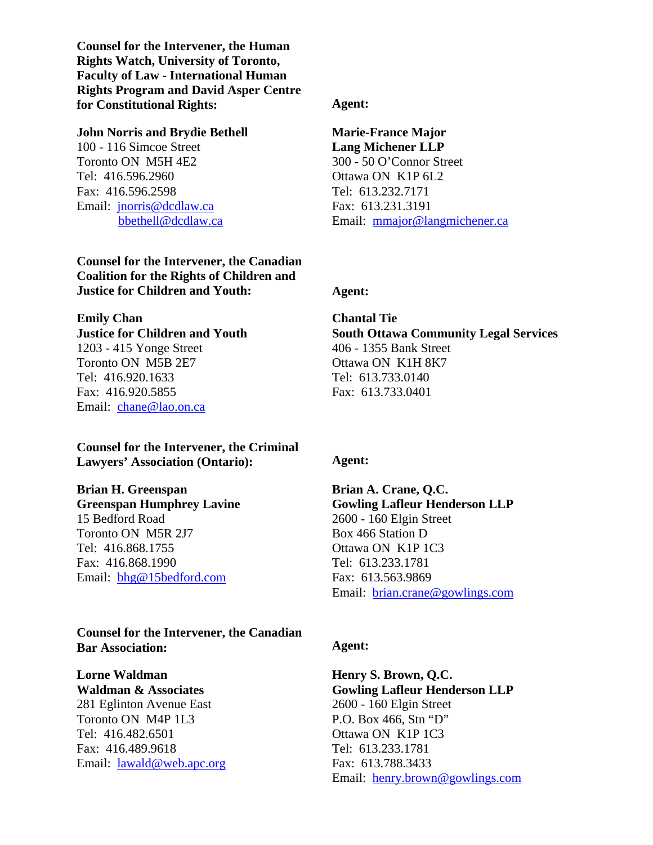**Counsel for the Intervener, the Human Rights Watch, University of Toronto, Faculty of Law - International Human Rights Program and David Asper Centre for Constitutional Rights: Agent:** 

#### **John Norris and Brydie Bethell**

100 - 116 Simcoe Street Toronto ON M5H 4E2 Tel: 416.596.2960 Fax: 416.596.2598 Email: [jnorris@dcdlaw.ca](mailto:jnorris@dcdlaw.ca) [bbethell@dcdlaw.ca](mailto:bbethell@dcdlaw.ca) 

**Counsel for the Intervener, the Canadian Coalition for the Rights of Children and Justice for Children and Youth: Agent:** 

#### **Emily Chan**

#### **Justice for Children and Youth**  1203 - 415 Yonge Street

Toronto ON M5B 2E7 Tel: 416.920.1633 Fax: 416.920.5855 Email: [chane@lao.on.ca](mailto:chane@lao.on.ca)

#### **Counsel for the Intervener, the Criminal Lawyers' Association (Ontario): Agent:**

#### **Brian H. Greenspan**

**Greenspan Humphrey Lavine**  15 Bedford Road Toronto ON M5R 2J7 Tel: 416.868.1755 Fax: 416.868.1990 Email: [bhg@15bedford.com](mailto:bhg@15bedford.com) 

#### **Counsel for the Intervener, the Canadian Bar Association: Agent: Agent:**

#### **Lorne Waldman Waldman & Associates**

281 Eglinton Avenue East Toronto ON M4P 1L3 Tel: 416.482.6501 Fax: 416.489.9618 Email: [lawald@web.apc.org](mailto:lawald@web.apc.org) 

#### **Marie-France Major Lang Michener LLP**  300 - 50 O'Connor Street Ottawa ON K1P 6L2 Tel: 613.232.7171 Fax: 613.231.3191 Email: [mmajor@langmichener.ca](mailto:mmajor@langmichener.ca)

#### **Chantal Tie South Ottawa Community Legal Services**  406 - 1355 Bank Street Ottawa ON K1H 8K7 Tel: 613.733.0140 Fax: 613.733.0401

#### **Brian A. Crane, Q.C. Gowling Lafleur Henderson LLP**  2600 - 160 Elgin Street Box 466 Station D Ottawa ON K1P 1C3 Tel: 613.233.1781 Fax: 613.563.9869 Email: [brian.crane@gowlings.com](mailto:brian.crane@gowlings.com)

#### **Henry S. Brown, Q.C. Gowling Lafleur Henderson LLP**  2600 - 160 Elgin Street P.O. Box 466, Stn "D" Ottawa ON K1P 1C3 Tel: 613.233.1781 Fax: 613.788.3433 Email: [henry.brown@gowlings.com](mailto:henry.brown@gowlings.com)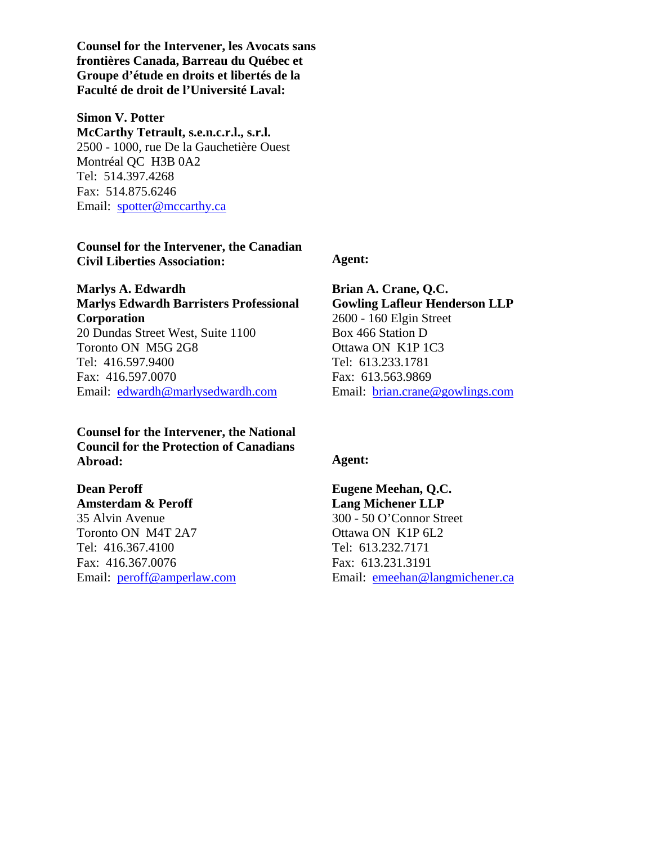**Counsel for the Intervener, les Avocats sans frontières Canada, Barreau du Québec et Groupe d'étude en droits et libertés de la Faculté de droit de l'Université Laval:** 

#### **Simon V. Potter**

**McCarthy Tetrault, s.e.n.c.r.l., s.r.l.**  2500 - 1000, rue De la Gauchetière Ouest Montréal QC H3B 0A2 Tel: 514.397.4268 Fax: 514.875.6246 Email: [spotter@mccarthy.ca](mailto:spotter@mccarthy.ca)

#### **Counsel for the Intervener, the Canadian Civil Liberties Association: Agent:**

**Marlys A. Edwardh Marlys Edwardh Barristers Professional Corporation**  20 Dundas Street West, Suite 1100 Toronto ON M5G 2G8 Tel: 416.597.9400 Fax: 416.597.0070 Email: [edwardh@marlysedwardh.com](mailto:edwardh@marlysedwardh.com) 

**Counsel for the Intervener, the National Council for the Protection of Canadians Abroad: Agent:** 

## **Dean Peroff**

**Amsterdam & Peroff**  35 Alvin Avenue Toronto ON M4T 2A7 Tel: 416.367.4100 Fax: 416.367.0076 Email: [peroff@amperlaw.com](mailto:peroff@amperlaw.com)

**Brian A. Crane, Q.C. Gowling Lafleur Henderson LLP**  2600 - 160 Elgin Street Box 466 Station D Ottawa ON K1P 1C3 Tel: 613.233.1781 Fax: 613.563.9869 Email: [brian.crane@gowlings.com](mailto:brian.crane@gowlings.com)

**Eugene Meehan, Q.C. Lang Michener LLP**  300 - 50 O'Connor Street Ottawa ON K1P 6L2 Tel: 613.232.7171 Fax: 613.231.3191 Email: [emeehan@langmichener.ca](mailto:emeehan@langmichener.ca)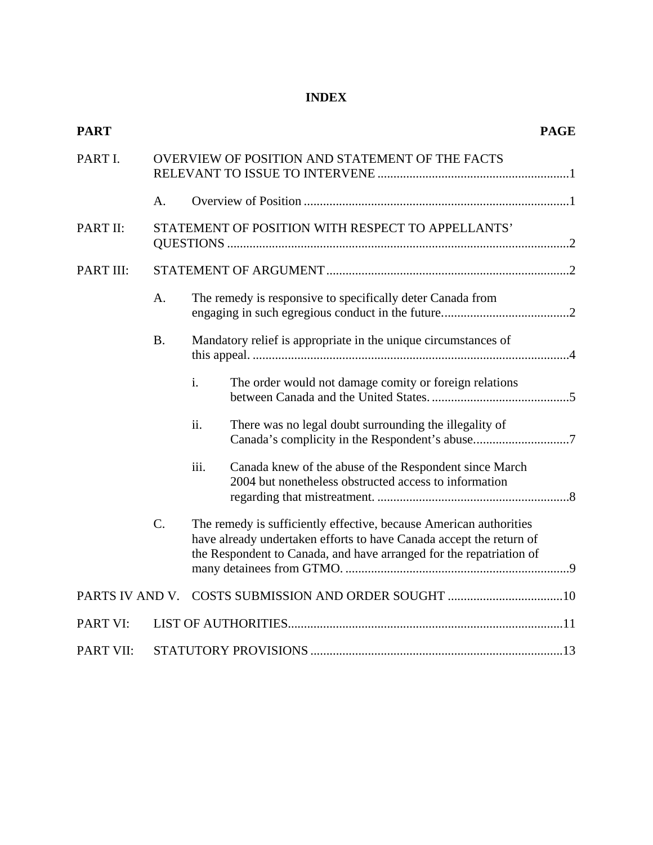#### **INDEX**

| <b>PART</b>      |                                                 |                                                                                                                                                                                                                  |                                                                                                                 | <b>PAGE</b> |  |  |
|------------------|-------------------------------------------------|------------------------------------------------------------------------------------------------------------------------------------------------------------------------------------------------------------------|-----------------------------------------------------------------------------------------------------------------|-------------|--|--|
| PART I.          | OVERVIEW OF POSITION AND STATEMENT OF THE FACTS |                                                                                                                                                                                                                  |                                                                                                                 |             |  |  |
|                  | A.                                              |                                                                                                                                                                                                                  |                                                                                                                 |             |  |  |
| PART II:         |                                                 | STATEMENT OF POSITION WITH RESPECT TO APPELLANTS'                                                                                                                                                                |                                                                                                                 |             |  |  |
| PART III:        |                                                 |                                                                                                                                                                                                                  |                                                                                                                 |             |  |  |
|                  | A.                                              | The remedy is responsive to specifically deter Canada from                                                                                                                                                       |                                                                                                                 |             |  |  |
|                  | <b>B.</b>                                       | Mandatory relief is appropriate in the unique circumstances of                                                                                                                                                   |                                                                                                                 |             |  |  |
|                  |                                                 | i.                                                                                                                                                                                                               | The order would not damage comity or foreign relations                                                          |             |  |  |
|                  |                                                 | ii.                                                                                                                                                                                                              | There was no legal doubt surrounding the illegality of<br>Canada's complicity in the Respondent's abuse7        |             |  |  |
|                  |                                                 | iii.                                                                                                                                                                                                             | Canada knew of the abuse of the Respondent since March<br>2004 but nonetheless obstructed access to information |             |  |  |
|                  | $\mathcal{C}$ .                                 | The remedy is sufficiently effective, because American authorities<br>have already undertaken efforts to have Canada accept the return of<br>the Respondent to Canada, and have arranged for the repatriation of |                                                                                                                 |             |  |  |
| PARTS IV AND V.  |                                                 |                                                                                                                                                                                                                  |                                                                                                                 |             |  |  |
| PART VI:         |                                                 |                                                                                                                                                                                                                  |                                                                                                                 |             |  |  |
| <b>PART VII:</b> |                                                 |                                                                                                                                                                                                                  |                                                                                                                 |             |  |  |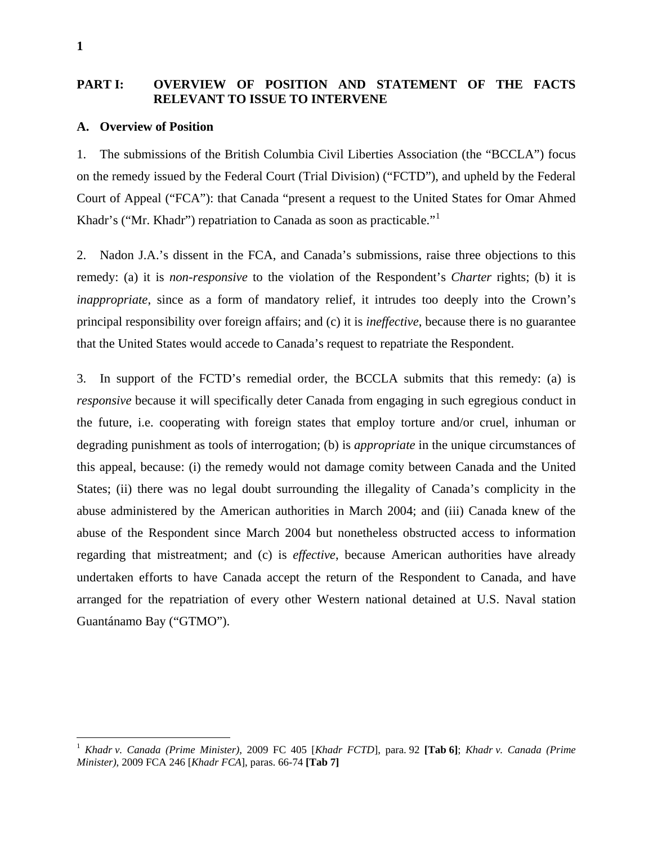#### **PART I: OVERVIEW OF POSITION AND STATEMENT OF THE FACTS RELEVANT TO ISSUE TO INTERVENE**

#### **A. Overview of Position**

1. The submissions of the British Columbia Civil Liberties Association (the "BCCLA") focus on the remedy issued by the Federal Court (Trial Division) ("FCTD"), and upheld by the Federal Court of Appeal ("FCA"): that Canada "present a request to the United States for Omar Ahmed Khadr's ("Mr. Khadr") repatriation to Canada as soon as practicable."[1](#page-5-0)

2. Nadon J.A.'s dissent in the FCA, and Canada's submissions, raise three objections to this remedy: (a) it is *non-responsive* to the violation of the Respondent's *Charter* rights; (b) it is *inappropriate*, since as a form of mandatory relief, it intrudes too deeply into the Crown's principal responsibility over foreign affairs; and (c) it is *ineffective*, because there is no guarantee that the United States would accede to Canada's request to repatriate the Respondent.

3. In support of the FCTD's remedial order, the BCCLA submits that this remedy: (a) is *responsive* because it will specifically deter Canada from engaging in such egregious conduct in the future, i.e. cooperating with foreign states that employ torture and/or cruel, inhuman or degrading punishment as tools of interrogation; (b) is *appropriate* in the unique circumstances of this appeal, because: (i) the remedy would not damage comity between Canada and the United States; (ii) there was no legal doubt surrounding the illegality of Canada's complicity in the abuse administered by the American authorities in March 2004; and (iii) Canada knew of the abuse of the Respondent since March 2004 but nonetheless obstructed access to information regarding that mistreatment; and (c) is *effective*, because American authorities have already undertaken efforts to have Canada accept the return of the Respondent to Canada, and have arranged for the repatriation of every other Western national detained at U.S. Naval station Guantánamo Bay ("GTMO").

 $\overline{a}$ 

<span id="page-5-0"></span><sup>1</sup> *Khadr v. Canada (Prime Minister)*, 2009 FC 405 [*Khadr FCTD*], para. 92 **[Tab 6]**; *Khadr v. Canada (Prime Minister)*, 2009 FCA 246 [*Khadr FCA*], paras. 66-74 **[Tab 7]**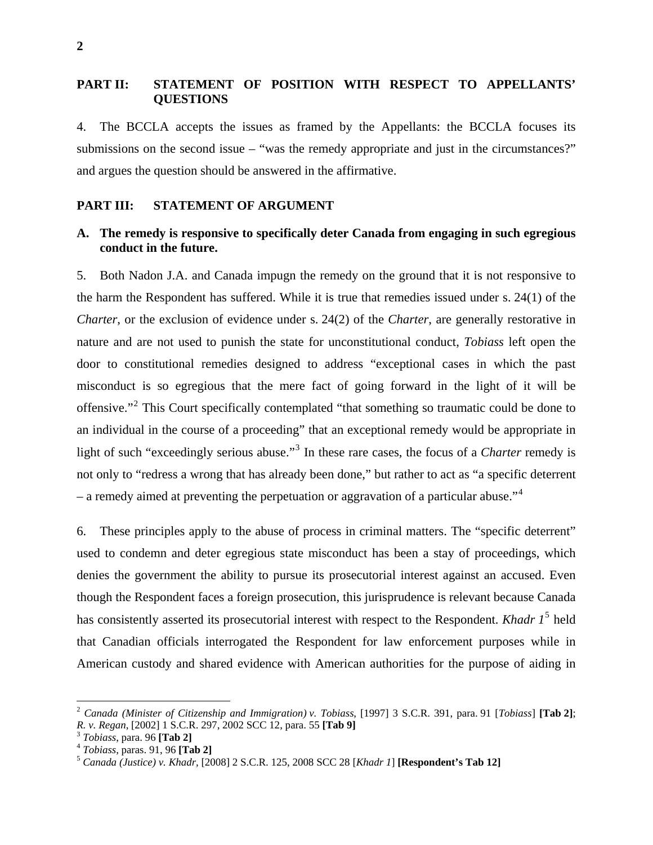#### **PART II: STATEMENT OF POSITION WITH RESPECT TO APPELLANTS' QUESTIONS**

4. The BCCLA accepts the issues as framed by the Appellants: the BCCLA focuses its submissions on the second issue – "was the remedy appropriate and just in the circumstances?" and argues the question should be answered in the affirmative.

#### **PART III: STATEMENT OF ARGUMENT**

#### **A. The remedy is responsive to specifically deter Canada from engaging in such egregious conduct in the future.**

5. Both Nadon J.A. and Canada impugn the remedy on the ground that it is not responsive to the harm the Respondent has suffered. While it is true that remedies issued under s. 24(1) of the *Charter*, or the exclusion of evidence under s. 24(2) of the *Charter*, are generally restorative in nature and are not used to punish the state for unconstitutional conduct, *Tobiass* left open the door to constitutional remedies designed to address "exceptional cases in which the past misconduct is so egregious that the mere fact of going forward in the light of it will be offensive."<sup>[2](#page-6-0)</sup> This Court specifically contemplated "that something so traumatic could be done to an individual in the course of a proceeding" that an exceptional remedy would be appropriate in light of such "exceedingly serious abuse."<sup>[3](#page-6-1)</sup> In these rare cases, the focus of a *Charter* remedy is not only to "redress a wrong that has already been done," but rather to act as "a specific deterrent – a remedy aimed at preventing the perpetuation or aggravation of a particular abuse."<sup>[4](#page-6-2)</sup>

6. These principles apply to the abuse of process in criminal matters. The "specific deterrent" used to condemn and deter egregious state misconduct has been a stay of proceedings, which denies the government the ability to pursue its prosecutorial interest against an accused. Even though the Respondent faces a foreign prosecution, this jurisprudence is relevant because Canada has consistently asserted its prosecutorial interest with respect to the Respondent. *Khadr 1*[5](#page-6-3) held that Canadian officials interrogated the Respondent for law enforcement purposes while in American custody and shared evidence with American authorities for the purpose of aiding in

1

<span id="page-6-0"></span><sup>2</sup> *Canada (Minister of Citizenship and Immigration) v. Tobiass*, [1997] 3 S.C.R. 391, para. 91 [*Tobiass*] **[Tab 2]**;

<span id="page-6-3"></span><span id="page-6-2"></span>

<span id="page-6-1"></span><sup>&</sup>lt;sup>3</sup> Tobiass, para. 96 [**Tab 2]**<br><sup>4</sup> Tobiass, paras. 91, 96 [**Tab 2**]<br><sup>5</sup> Canada (Justice) v. Khadr, [2008] 2 S.C.R. 125, 2008 SCC 28 [Khadr 1] [Respondent's Tab 12]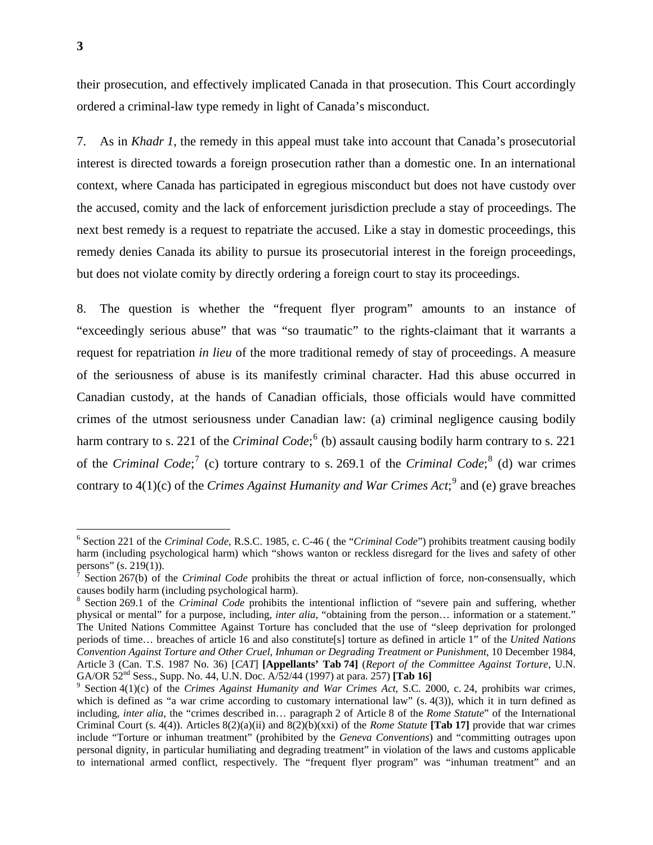their prosecution, and effectively implicated Canada in that prosecution. This Court accordingly ordered a criminal-law type remedy in light of Canada's misconduct.

7. As in *Khadr 1*, the remedy in this appeal must take into account that Canada's prosecutorial interest is directed towards a foreign prosecution rather than a domestic one. In an international context, where Canada has participated in egregious misconduct but does not have custody over the accused, comity and the lack of enforcement jurisdiction preclude a stay of proceedings. The next best remedy is a request to repatriate the accused. Like a stay in domestic proceedings, this remedy denies Canada its ability to pursue its prosecutorial interest in the foreign proceedings, but does not violate comity by directly ordering a foreign court to stay its proceedings.

8. The question is whether the "frequent flyer program" amounts to an instance of "exceedingly serious abuse" that was "so traumatic" to the rights-claimant that it warrants a request for repatriation *in lieu* of the more traditional remedy of stay of proceedings. A measure of the seriousness of abuse is its manifestly criminal character. Had this abuse occurred in Canadian custody, at the hands of Canadian officials, those officials would have committed crimes of the utmost seriousness under Canadian law: (a) criminal negligence causing bodily harm contrary to s. 221 of the *Criminal Code*;<sup>[6](#page-7-0)</sup> (b) assault causing bodily harm contrary to s. 221 of the *Criminal Code*;<sup>[7](#page-7-1)</sup> (c) torture contrary to s. 269.1 of the *Criminal Code*;<sup>[8](#page-7-2)</sup> (d) war crimes contrary to  $4(1)(c)$  of the *Crimes Against Humanity and War Crimes Act*;<sup>[9](#page-7-3)</sup> and (e) grave breaches

 $\overline{a}$ 

<span id="page-7-0"></span><sup>6</sup> Section 221 of the *Criminal Code*, R.S.C. 1985, c. C-46 ( the "*Criminal Code*") prohibits treatment causing bodily harm (including psychological harm) which "shows wanton or reckless disregard for the lives and safety of other persons" (s. 219(1)).

<span id="page-7-1"></span><sup>&</sup>lt;sup>7</sup> Section 267(b) of the *Criminal Code* prohibits the threat or actual infliction of force, non-consensually, which causes bodily harm (including psychological harm).

<span id="page-7-2"></span><sup>&</sup>lt;sup>8</sup> Section 269.1 of the *Criminal Code* prohibits the intentional infliction of "severe pain and suffering, whether physical or mental" for a purpose, including, *inter alia*, "obtaining from the person… information or a statement." The United Nations Committee Against Torture has concluded that the use of "sleep deprivation for prolonged periods of time… breaches of article 16 and also constitute[s] torture as defined in article 1" of the *United Nations Convention Against Torture and Other Cruel, Inhuman or Degrading Treatment or Punishment*, 10 December 1984, Article 3 (Can. T.S. 1987 No. 36) [*CAT*] **[Appellants' Tab 74]** (*Report of the Committee Against Torture*, U.N. GA/OR 52nd Sess., Supp. No. 44, U.N. Doc. A/52/44 (1997) at para. 257) **[Tab 16]** <sup>9</sup>

<span id="page-7-3"></span><sup>&</sup>lt;sup>9</sup> Section 4(1)(c) of the *Crimes Against Humanity and War Crimes Act*, S.C. 2000, c. 24, prohibits war crimes, which is defined as "a war crime according to customary international law" (s.  $4(3)$ ), which it in turn defined as including, *inter alia*, the "crimes described in… paragraph 2 of Article 8 of the *Rome Statute*" of the International Criminal Court (s. 4(4)). Articles 8(2)(a)(ii) and 8(2)(b)(xxi) of the *Rome Statute* **[Tab 17]** provide that war crimes include "Torture or inhuman treatment" (prohibited by the *Geneva Conventions*) and "committing outrages upon personal dignity, in particular humiliating and degrading treatment" in violation of the laws and customs applicable to international armed conflict, respectively. The "frequent flyer program" was "inhuman treatment" and an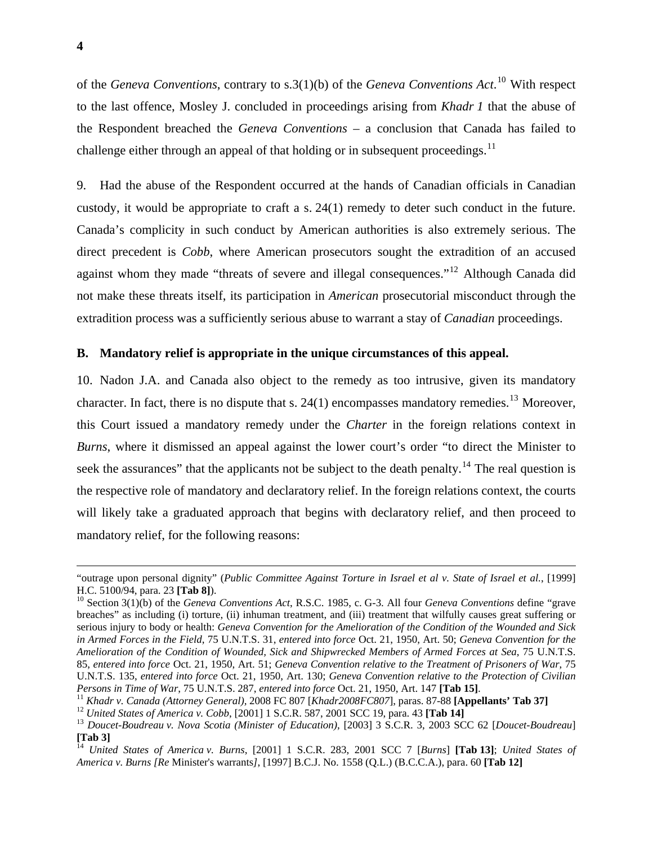of the *Geneva Conventions*, contrary to s.3(1)(b) of the *Geneva Conventions Act*. 10 With respect to the last offence, Mosley J. concluded in proceedings arising from *Khadr 1* that the abuse of the Respondent breached the *Geneva Conventions* – a conclusion that Canada has failed to challenge either through an appeal of that holding or in subsequent proceedings.<sup>11</sup>

9. Had the abuse of the Respondent occurred at the hands of Canadian officials in Canadian custody, it would be appropriate to craft a s. 24(1) remedy to deter such conduct in the future. Canada's complicity in such conduct by American authorities is also extremely serious. The direct precedent is *Cobb*, where American prosecutors sought the extradition of an accused against whom they made "threats of severe and illegal consequences."[12](#page-8-0) Although Canada did not make these threats itself, its participation in *American* prosecutorial misconduct through the extradition process was a sufficiently serious abuse to warrant a stay of *Canadian* proceedings.

#### **B. Mandatory relief is appropriate in the unique circumstances of this appeal.**

10. Nadon J.A. and Canada also object to the remedy as too intrusive, given its mandatory character. In fact, there is no dispute that s.  $24(1)$  encompasses mandatory remedies.<sup>[13](#page-8-1)</sup> Moreover, this Court issued a mandatory remedy under the *Charter* in the foreign relations context in *Burns*, where it dismissed an appeal against the lower court's order "to direct the Minister to seek the assurances" that the applicants not be subject to the death penalty.<sup>[14](#page-8-2)</sup> The real question is the respective role of mandatory and declaratory relief. In the foreign relations context, the courts will likely take a graduated approach that begins with declaratory relief, and then proceed to mandatory relief, for the following reasons:

 <sup>&</sup>quot;outrage upon personal dignity" (*Public Committee Against Torture in Israel et al v. State of Israel et al.*, [1999] H.C. 5100/94, para. 23 **[Tab 8]**).<br><sup>10</sup> Section 3(1)(b) of the *Geneva Conventions Act*, R.S.C. 1985, c. G-3. All four *Geneva Conventions* define "grave

breaches" as including (i) torture, (ii) inhuman treatment, and (iii) treatment that wilfully causes great suffering or serious injury to body or health: *Geneva Convention for the Amelioration of the Condition of the Wounded and Sick in Armed Forces in the Field*, 75 U.N.T.S. 31, *entered into force* Oct. 21, 1950, Art. 50; *Geneva Convention for the Amelioration of the Condition of Wounded, Sick and Shipwrecked Members of Armed Forces at Sea*, 75 U.N.T.S. 85, *entered into force* Oct. 21, 1950, Art. 51; *Geneva Convention relative to the Treatment of Prisoners of War*, 75 U.N.T.S. 135, *entered into force* Oct. 21, 1950, Art. 130; *Geneva Convention relative to the Protection of Civilian Persons in Time of War, 75 U.N.T.S. 287, entered into force Oct. 21, 1950, Art. 147 [Tab 15].* 

<span id="page-8-0"></span>

<span id="page-8-1"></span>

<sup>&</sup>lt;sup>11</sup> Khadr v. Canada (Attorney General), 2008 FC 807 [Khadr2008FC807], paras. 87-88 [**Appellants' Tab 37**]<br><sup>12</sup> United States of America v. Cobb, [2001] 1 S.C.R. 587, 2001 SCC 19, para. 43 [**Tab 14**]<br><sup>13</sup> Doucet-Boudreau **[Tab 3]** 

<span id="page-8-2"></span><sup>14</sup> *United States of America v. Burns*, [2001] 1 S.C.R. 283, 2001 SCC 7 [*Burns*] **[Tab 13]**; *United States of America v. Burns [Re* Minister's warrants*]*, [1997] B.C.J. No. 1558 (Q.L.) (B.C.C.A.), para. 60 **[Tab 12]**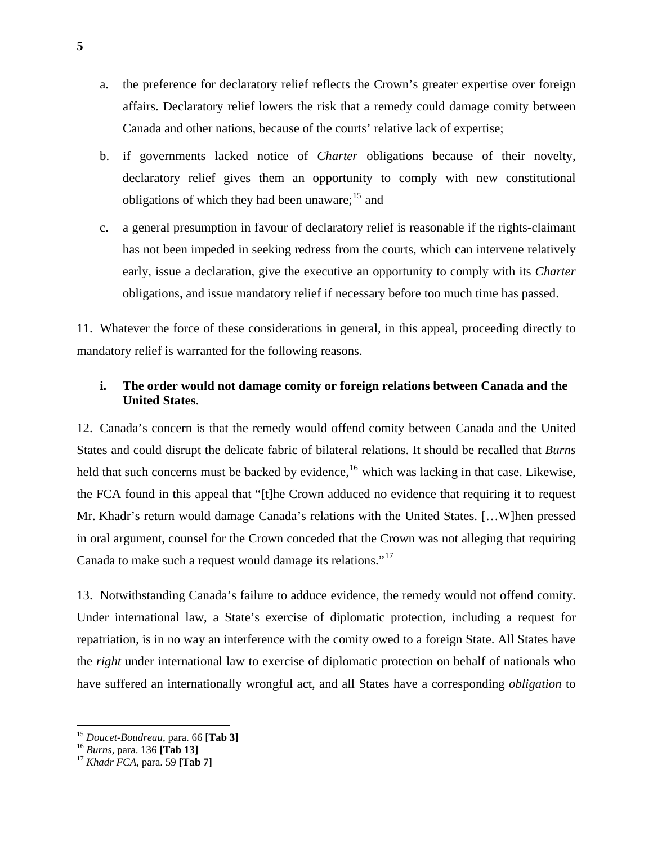- a. the preference for declaratory relief reflects the Crown's greater expertise over foreign affairs. Declaratory relief lowers the risk that a remedy could damage comity between Canada and other nations, because of the courts' relative lack of expertise;
- b. if governments lacked notice of *Charter* obligations because of their novelty, declaratory relief gives them an opportunity to comply with new constitutional obligations of which they had been unaware;  $15$  and
- c. a general presumption in favour of declaratory relief is reasonable if the rights-claimant has not been impeded in seeking redress from the courts, which can intervene relatively early, issue a declaration, give the executive an opportunity to comply with its *Charter* obligations, and issue mandatory relief if necessary before too much time has passed.

11. Whatever the force of these considerations in general, in this appeal, proceeding directly to mandatory relief is warranted for the following reasons.

#### **i. The order would not damage comity or foreign relations between Canada and the United States**.

12. Canada's concern is that the remedy would offend comity between Canada and the United States and could disrupt the delicate fabric of bilateral relations. It should be recalled that *Burns*  held that such concerns must be backed by evidence,<sup>[16](#page-9-1)</sup> which was lacking in that case. Likewise, the FCA found in this appeal that "[t]he Crown adduced no evidence that requiring it to request Mr. Khadr's return would damage Canada's relations with the United States. […W]hen pressed in oral argument, counsel for the Crown conceded that the Crown was not alleging that requiring Canada to make such a request would damage its relations."[17](#page-9-2)

13. Notwithstanding Canada's failure to adduce evidence, the remedy would not offend comity. Under international law, a State's exercise of diplomatic protection, including a request for repatriation, is in no way an interference with the comity owed to a foreign State. All States have the *right* under international law to exercise of diplomatic protection on behalf of nationals who have suffered an internationally wrongful act, and all States have a corresponding *obligation* to

 $\overline{a}$ 

<span id="page-9-0"></span><sup>15</sup> *Doucet-Boudreau*, para. 66 **[Tab 3]** <sup>16</sup> *Burns*, para. 136 **[Tab 13]** <sup>17</sup> *Khadr FCA*, para. 59 **[Tab 7]** 

<span id="page-9-1"></span>

<span id="page-9-2"></span>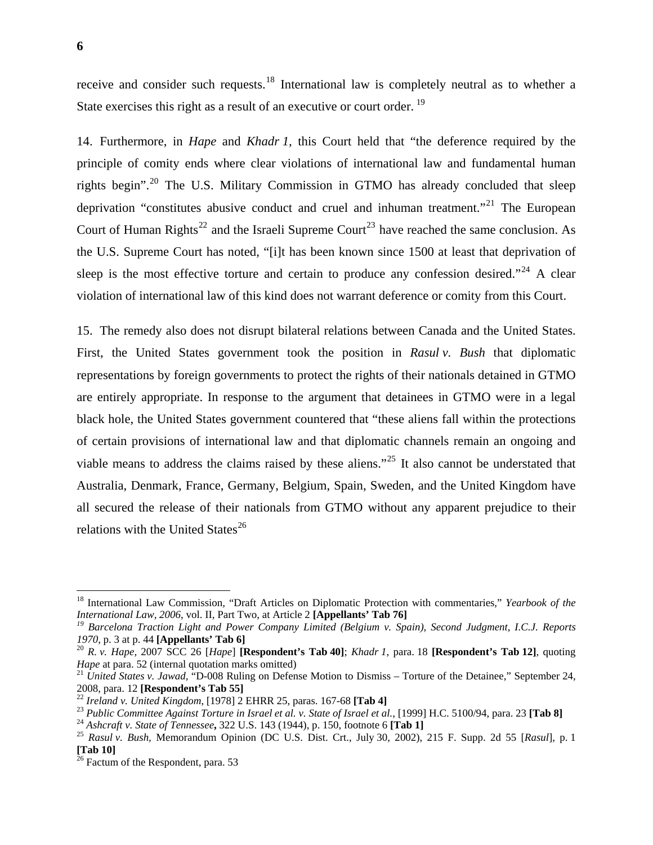receive and consider such requests.<sup>18</sup> International law is completely neutral as to whether a State exercises this right as a result of an executive or court order.<sup>19</sup>

14. Furthermore, in *Hape* and *Khadr 1,* this Court held that "the deference required by the principle of comity ends where clear violations of international law and fundamental human rights begin".<sup>[20](#page-10-0)</sup> The U.S. Military Commission in GTMO has already concluded that sleep deprivation "constitutes abusive conduct and cruel and inhuman treatment."<sup>[21](#page-10-1)</sup> The European Court of Human Rights<sup>[22](#page-10-2)</sup> and the Israeli Supreme Court<sup>[23](#page-10-3)</sup> have reached the same conclusion. As the U.S. Supreme Court has noted, "[i]t has been known since 1500 at least that deprivation of sleep is the most effective torture and certain to produce any confession desired."  $24$  A clear violation of international law of this kind does not warrant deference or comity from this Court.

15. The remedy also does not disrupt bilateral relations between Canada and the United States. First, the United States government took the position in *Rasul v. Bush* that diplomatic representations by foreign governments to protect the rights of their nationals detained in GTMO are entirely appropriate. In response to the argument that detainees in GTMO were in a legal black hole, the United States government countered that "these aliens fall within the protections of certain provisions of international law and that diplomatic channels remain an ongoing and viable means to address the claims raised by these aliens."[25](#page-10-5) It also cannot be understated that Australia, Denmark, France, Germany, Belgium, Spain, Sweden, and the United Kingdom have all secured the release of their nationals from GTMO without any apparent prejudice to their relations with the United States $^{26}$  $^{26}$  $^{26}$ 

 $\overline{a}$ 

<sup>&</sup>lt;sup>18</sup> International Law Commission, "Draft Articles on Diplomatic Protection with commentaries," *Yearbook of the International Law, 2006, vol. II, Part Two, at Article 2 [Appellants' Tab 76]* 

<sup>&</sup>lt;sup>19</sup> Barcelona Traction Light and Power Company Limited (Belgium v. Spain), Second Judgment, I.C.J. Reports

<span id="page-10-0"></span>*<sup>1970</sup>*, p. 3 at p. 44 **[Appellants' Tab 6]** <sup>20</sup> *R. v. Hape*, 2007 SCC 26 [*Hape*] **[Respondent's Tab 40]**; *Khadr 1*, para. 18 **[Respondent's Tab 12]**, quoting

<span id="page-10-1"></span><sup>&</sup>lt;sup>21</sup> *United States v. Jawad,* "D-008 Ruling on Defense Motion to Dismiss – Torture of the Detainee," September 24, 2008, para. 12 **[Respondent's Tab 55]** 

<span id="page-10-3"></span>

<span id="page-10-2"></span><sup>&</sup>lt;sup>22</sup> Ireland v. United Kingdom, [1978] 2 EHRR 25, paras. 167-68 [Tab 4]<br><sup>23</sup> Public Committee Against Torture in Israel et al. v. State of Israel et al., [1999] H.C. 5100/94, para. 23 [Tab 8]<br><sup>24</sup> Ashcraft v. State of Ten

<span id="page-10-4"></span>

<span id="page-10-5"></span>**<sup>[</sup>Tab 10]** 

<span id="page-10-6"></span> $26$  Factum of the Respondent, para. 53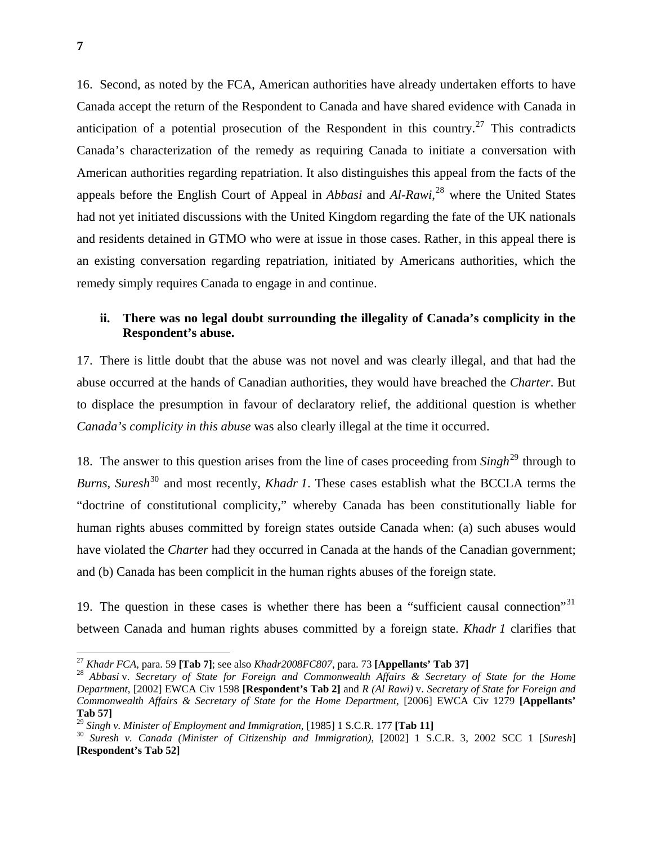16. Second, as noted by the FCA, American authorities have already undertaken efforts to have Canada accept the return of the Respondent to Canada and have shared evidence with Canada in anticipation of a potential prosecution of the Respondent in this country.<sup>[27](#page-11-0)</sup> This contradicts Canada's characterization of the remedy as requiring Canada to initiate a conversation with American authorities regarding repatriation. It also distinguishes this appeal from the facts of the appeals before the English Court of Appeal in *Abbasi* and *Al-Rawi*, [28](#page-11-1) where the United States had not yet initiated discussions with the United Kingdom regarding the fate of the UK nationals and residents detained in GTMO who were at issue in those cases. Rather, in this appeal there is an existing conversation regarding repatriation, initiated by Americans authorities, which the remedy simply requires Canada to engage in and continue.

#### **ii. There was no legal doubt surrounding the illegality of Canada's complicity in the Respondent's abuse.**

17. There is little doubt that the abuse was not novel and was clearly illegal, and that had the abuse occurred at the hands of Canadian authorities, they would have breached the *Charter*. But to displace the presumption in favour of declaratory relief, the additional question is whether *Canada's complicity in this abuse* was also clearly illegal at the time it occurred.

18. The answer to this question arises from the line of cases proceeding from *Singh*[29](#page-11-2) through to *Burns*, *Suresh*<sup>[30](#page-11-3)</sup> and most recently, *Khadr 1*. These cases establish what the BCCLA terms the "doctrine of constitutional complicity," whereby Canada has been constitutionally liable for human rights abuses committed by foreign states outside Canada when: (a) such abuses would have violated the *Charter* had they occurred in Canada at the hands of the Canadian government; and (b) Canada has been complicit in the human rights abuses of the foreign state.

19. The question in these cases is whether there has been a "sufficient causal connection"<sup>[31](#page-11-4)</sup> between Canada and human rights abuses committed by a foreign state. *Khadr 1* clarifies that

1

<span id="page-11-1"></span><span id="page-11-0"></span><sup>&</sup>lt;sup>27</sup> Khadr FCA, para. 59 [**Tab 7**]; see also Khadr2008FC807, para. 73 [**Appellants' Tab 37**]<br><sup>28</sup> Abbasi v. Secretary of State for Foreign and Commonwealth Affairs & Secretary of State for the Home *Department*, [2002] EWCA Civ 1598 **[Respondent's Tab 2]** and *R (Al Rawi)* v. *Secretary of State for Foreign and Commonwealth Affairs & Secretary of State for the Home Department*, [2006] EWCA Civ 1279 **[Appellants' Tab 57]**<br><sup>29</sup> Singh v. Minister of Employment and Immigration, [1985] 1 S.C.R. 177 [**Tab 11**]

<span id="page-11-4"></span><span id="page-11-2"></span>

<span id="page-11-3"></span><sup>&</sup>lt;sup>30</sup> Suresh v. Canada (Minister of Citizenship and Immigration), [2002] 1 S.C.R. 3, 2002 SCC 1 [*Suresh*] **[Respondent's Tab 52]**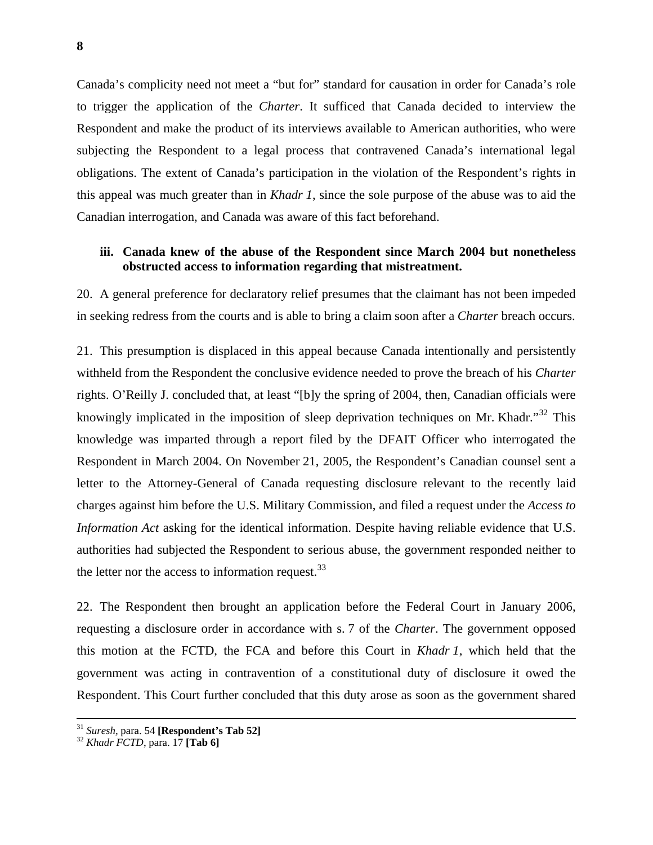Canada's complicity need not meet a "but for" standard for causation in order for Canada's role to trigger the application of the *Charter*. It sufficed that Canada decided to interview the Respondent and make the product of its interviews available to American authorities, who were subjecting the Respondent to a legal process that contravened Canada's international legal obligations. The extent of Canada's participation in the violation of the Respondent's rights in this appeal was much greater than in *Khadr 1*, since the sole purpose of the abuse was to aid the Canadian interrogation, and Canada was aware of this fact beforehand.

#### **iii. Canada knew of the abuse of the Respondent since March 2004 but nonetheless obstructed access to information regarding that mistreatment.**

20. A general preference for declaratory relief presumes that the claimant has not been impeded in seeking redress from the courts and is able to bring a claim soon after a *Charter* breach occurs.

21. This presumption is displaced in this appeal because Canada intentionally and persistently withheld from the Respondent the conclusive evidence needed to prove the breach of his *Charter* rights. O'Reilly J. concluded that, at least "[b]y the spring of 2004, then, Canadian officials were knowingly implicated in the imposition of sleep deprivation techniques on Mr. Khadr."<sup>[32](#page-12-0)</sup> This knowledge was imparted through a report filed by the DFAIT Officer who interrogated the Respondent in March 2004. On November 21, 2005, the Respondent's Canadian counsel sent a letter to the Attorney-General of Canada requesting disclosure relevant to the recently laid charges against him before the U.S. Military Commission, and filed a request under the *Access to Information Act* asking for the identical information. Despite having reliable evidence that U.S. authorities had subjected the Respondent to serious abuse, the government responded neither to the letter nor the access to information request.  $33$ 

22. The Respondent then brought an application before the Federal Court in January 2006, requesting a disclosure order in accordance with s. 7 of the *Charter*. The government opposed this motion at the FCTD, the FCA and before this Court in *Khadr 1*, which held that the government was acting in contravention of a constitutional duty of disclosure it owed the Respondent. This Court further concluded that this duty arose as soon as the government shared

<span id="page-12-1"></span><sup>31</sup> *Suresh,* para. 54 **[Respondent's Tab 52]** <sup>32</sup> *Khadr FCTD*, para. 17 **[Tab 6]** 

<span id="page-12-0"></span>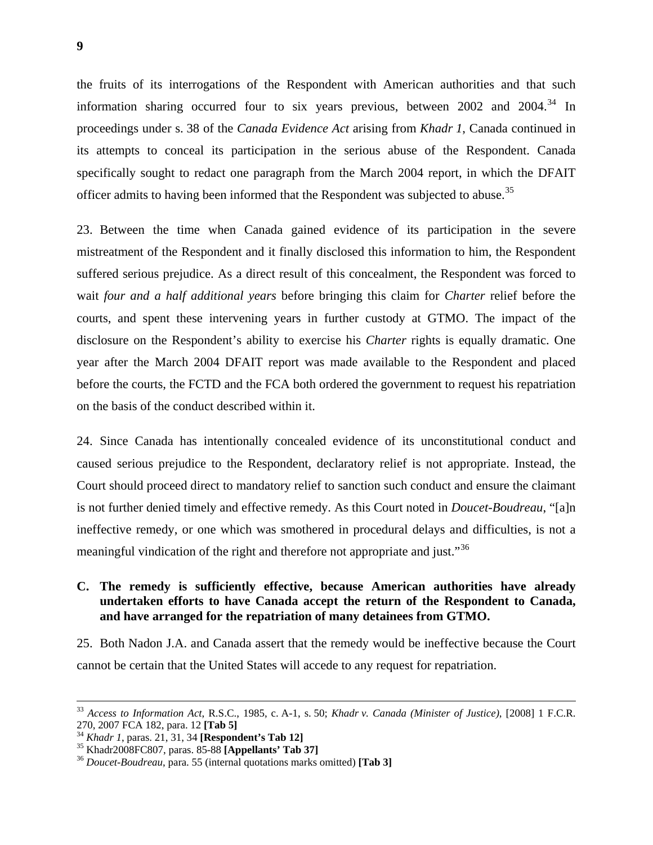the fruits of its interrogations of the Respondent with American authorities and that such information sharing occurred four to six years previous, between  $2002$  and  $2004$ .<sup>34</sup> In proceedings under s. 38 of the *Canada Evidence Act* arising from *Khadr 1*, Canada continued in its attempts to conceal its participation in the serious abuse of the Respondent. Canada specifically sought to redact one paragraph from the March 2004 report, in which the DFAIT officer admits to having been informed that the Respondent was subjected to abuse.<sup>35</sup>

23. Between the time when Canada gained evidence of its participation in the severe mistreatment of the Respondent and it finally disclosed this information to him, the Respondent suffered serious prejudice. As a direct result of this concealment, the Respondent was forced to wait *four and a half additional years* before bringing this claim for *Charter* relief before the courts, and spent these intervening years in further custody at GTMO. The impact of the disclosure on the Respondent's ability to exercise his *Charter* rights is equally dramatic. One year after the March 2004 DFAIT report was made available to the Respondent and placed before the courts, the FCTD and the FCA both ordered the government to request his repatriation on the basis of the conduct described within it.

24. Since Canada has intentionally concealed evidence of its unconstitutional conduct and caused serious prejudice to the Respondent, declaratory relief is not appropriate. Instead, the Court should proceed direct to mandatory relief to sanction such conduct and ensure the claimant is not further denied timely and effective remedy. As this Court noted in *Doucet-Boudreau*, "[a]n ineffective remedy, or one which was smothered in procedural delays and difficulties, is not a meaningful vindication of the right and therefore not appropriate and just."<sup>[36](#page-13-0)</sup>

#### **C. The remedy is sufficiently effective, because American authorities have already undertaken efforts to have Canada accept the return of the Respondent to Canada, and have arranged for the repatriation of many detainees from GTMO.**

25. Both Nadon J.A. and Canada assert that the remedy would be ineffective because the Court cannot be certain that the United States will accede to any request for repatriation.

 <sup>33</sup> *Access to Information Act*, R.S.C., 1985, c. A-1, s. 50; *Khadr v. Canada (Minister of Justice)*, [2008] 1 F.C.R. 270, 2007 FCA 182, para. 12 **[Tab 5]**<br><sup>34</sup> *Khadr 1*, paras. 21, 31, 34 **[Respondent's Tab 12]**<br><sup>35</sup> Khadr2008FC807, paras. 85-88 **[Appellants' Tab 37]**<br><sup>36</sup> *Doucet-Boudreau*, para. 55 (internal quotations marks omitted)

<span id="page-13-0"></span>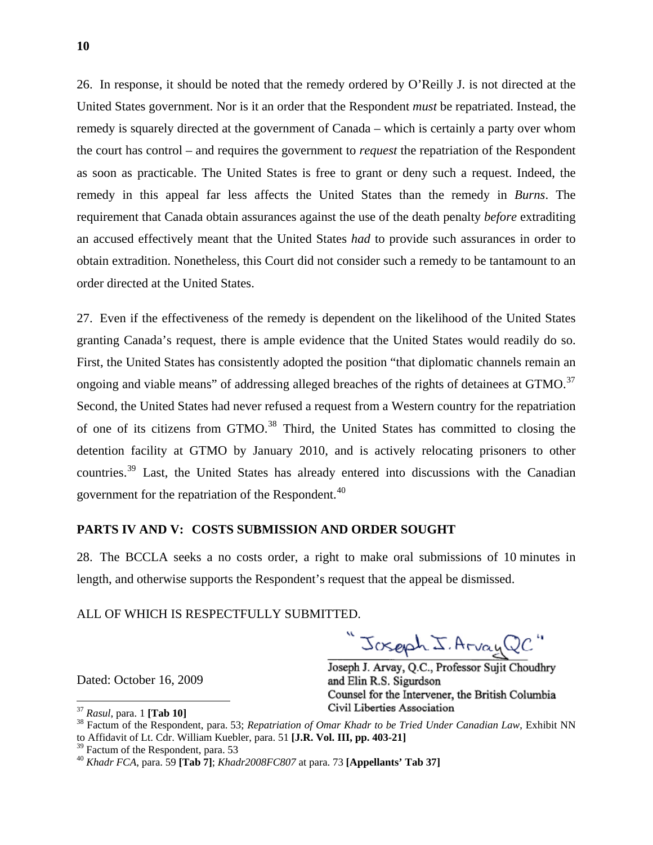26. In response, it should be noted that the remedy ordered by O'Reilly J. is not directed at the United States government. Nor is it an order that the Respondent *must* be repatriated. Instead, the remedy is squarely directed at the government of Canada – which is certainly a party over whom the court has control – and requires the government to *request* the repatriation of the Respondent as soon as practicable. The United States is free to grant or deny such a request. Indeed, the remedy in this appeal far less affects the United States than the remedy in *Burns*. The requirement that Canada obtain assurances against the use of the death penalty *before* extraditing an accused effectively meant that the United States *had* to provide such assurances in order to obtain extradition. Nonetheless, this Court did not consider such a remedy to be tantamount to an order directed at the United States.

27. Even if the effectiveness of the remedy is dependent on the likelihood of the United States granting Canada's request, there is ample evidence that the United States would readily do so. First, the United States has consistently adopted the position "that diplomatic channels remain an ongoing and viable means" of addressing alleged breaches of the rights of detainees at GTMO.<sup>[37](#page-14-0)</sup> Second, the United States had never refused a request from a Western country for the repatriation of one of its citizens from GTMO.<sup>[38](#page-14-1)</sup> Third, the United States has committed to closing the detention facility at GTMO by January 2010, and is actively relocating prisoners to other countries.[39](#page-14-2) Last, the United States has already entered into discussions with the Canadian government for the repatriation of the Respondent.<sup>[40](#page-14-3)</sup>

#### **PARTS IV AND V: COSTS SUBMISSION AND ORDER SOUGHT**

28. The BCCLA seeks a no costs order, a right to make oral submissions of 10 minutes in length, and otherwise supports the Respondent's request that the appeal be dismissed.

ALL OF WHICH IS RESPECTFULLY SUBMITTED.

Joseph J. Arvay QC"

Joseph J. Arvay, Q.C., Professor Sujit Choudhry and Elin R.S. Sigurdson Counsel for the Intervener, the British Columbia

Dated: October 16, 2009

 $\overline{a}$ 

<span id="page-14-1"></span>

<span id="page-14-0"></span><sup>&</sup>lt;sup>37</sup> *Rasul*, para. 1 **[Tab 10]**<br><sup>38</sup> Factum of the Respondent, para. 53; *Repatriation of Omar Khadr to be Tried Under Canadian Law*, Exhibit NN to Affidavit of Lt. Cdr. William Kuebler, para. 51 **[J.R. Vol. III, pp. 403-21]**

<span id="page-14-2"></span><sup>&</sup>lt;sup>39</sup> Factum of the Respondent, para. 53

<span id="page-14-3"></span><sup>40</sup> *Khadr FCA*, para. 59 **[Tab 7]**; *Khadr2008FC807* at para. 73 **[Appellants' Tab 37]**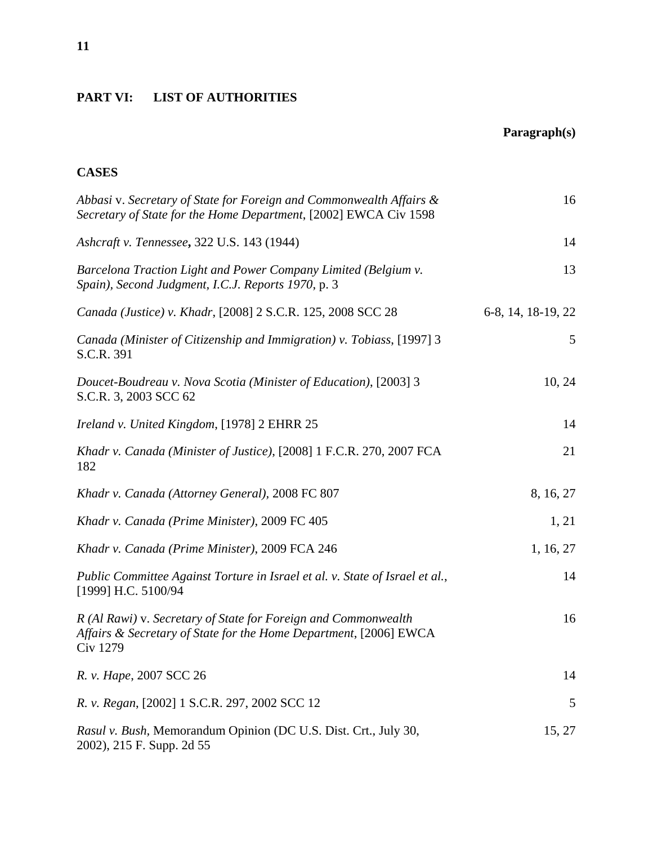## **PART VI: LIST OF AUTHORITIES**

## **Paragraph(s)**

## **CASES**

| Abbasi v. Secretary of State for Foreign and Commonwealth Affairs &<br>Secretary of State for the Home Department, [2002] EWCA Civ 1598                | 16                 |
|--------------------------------------------------------------------------------------------------------------------------------------------------------|--------------------|
| Ashcraft v. Tennessee, 322 U.S. 143 (1944)                                                                                                             | 14                 |
| Barcelona Traction Light and Power Company Limited (Belgium v.<br>Spain), Second Judgment, I.C.J. Reports 1970, p. 3                                   | 13                 |
| Canada (Justice) v. Khadr, [2008] 2 S.C.R. 125, 2008 SCC 28                                                                                            | 6-8, 14, 18-19, 22 |
| Canada (Minister of Citizenship and Immigration) v. Tobiass, [1997] 3<br>S.C.R. 391                                                                    | 5                  |
| Doucet-Boudreau v. Nova Scotia (Minister of Education), [2003] 3<br>S.C.R. 3, 2003 SCC 62                                                              | 10, 24             |
| Ireland v. United Kingdom, [1978] 2 EHRR 25                                                                                                            | 14                 |
| Khadr v. Canada (Minister of Justice), [2008] 1 F.C.R. 270, 2007 FCA<br>182                                                                            | 21                 |
| Khadr v. Canada (Attorney General), 2008 FC 807                                                                                                        | 8, 16, 27          |
| Khadr v. Canada (Prime Minister), 2009 FC 405                                                                                                          | 1, 21              |
| Khadr v. Canada (Prime Minister), 2009 FCA 246                                                                                                         | 1, 16, 27          |
| Public Committee Against Torture in Israel et al. v. State of Israel et al.,<br>[1999] H.C. 5100/94                                                    | 14                 |
| R (Al Rawi) v. Secretary of State for Foreign and Commonwealth<br>Affairs & Secretary of State for the Home Department, [2006] EWCA<br><b>Civ 1279</b> | 16                 |
| R. v. Hape, 2007 SCC 26                                                                                                                                | 14                 |
| R. v. Regan, [2002] 1 S.C.R. 297, 2002 SCC 12                                                                                                          | 5                  |
| Rasul v. Bush, Memorandum Opinion (DC U.S. Dist. Crt., July 30,<br>2002), 215 F. Supp. 2d 55                                                           | 15, 27             |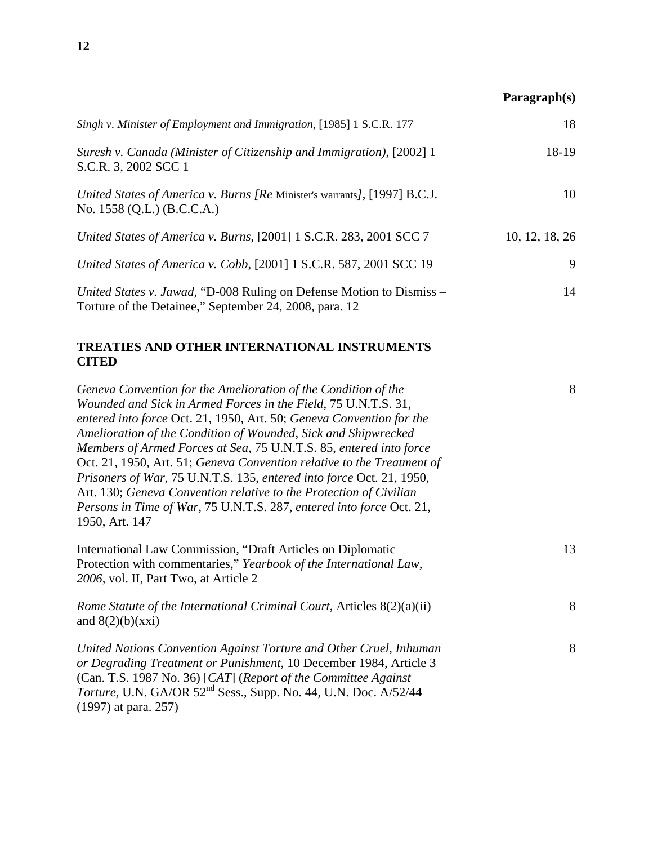## **Paragraph(s)**

| Singh v. Minister of Employment and Immigration, [1985] 1 S.C.R. 177                                                           | 18             |
|--------------------------------------------------------------------------------------------------------------------------------|----------------|
| Suresh v. Canada (Minister of Citizenship and Immigration), [2002] 1<br>S.C.R. 3, 2002 SCC 1                                   | 18-19          |
| United States of America v. Burns [Re Minister's warrants], [1997] B.C.J.<br>No. 1558 (Q.L.) (B.C.C.A.)                        | 10             |
| United States of America v. Burns, [2001] 1 S.C.R. 283, 2001 SCC 7                                                             | 10, 12, 18, 26 |
| United States of America v. Cobb, [2001] 1 S.C.R. 587, 2001 SCC 19                                                             | 9              |
| United States v. Jawad, "D-008 Ruling on Defense Motion to Dismiss –<br>Torture of the Detainee," September 24, 2008, para. 12 | 14             |

## **TREATIES AND OTHER INTERNATIONAL INSTRUMENTS CITED**

| Geneva Convention for the Amelioration of the Condition of the                      | 8  |
|-------------------------------------------------------------------------------------|----|
| Wounded and Sick in Armed Forces in the Field, 75 U.N.T.S. 31,                      |    |
| entered into force Oct. 21, 1950, Art. 50; Geneva Convention for the                |    |
| Amelioration of the Condition of Wounded, Sick and Shipwrecked                      |    |
| Members of Armed Forces at Sea, 75 U.N.T.S. 85, entered into force                  |    |
| Oct. 21, 1950, Art. 51; Geneva Convention relative to the Treatment of              |    |
| Prisoners of War, 75 U.N.T.S. 135, entered into force Oct. 21, 1950,                |    |
| Art. 130; Geneva Convention relative to the Protection of Civilian                  |    |
| Persons in Time of War, 75 U.N.T.S. 287, entered into force Oct. 21,                |    |
| 1950, Art. 147                                                                      |    |
| International Law Commission, "Draft Articles on Diplomatic                         | 13 |
| Protection with commentaries," Yearbook of the International Law,                   |    |
| 2006, vol. II, Part Two, at Article 2                                               |    |
| Rome Statute of the International Criminal Court, Articles 8(2)(a)(ii)              | 8  |
| and $8(2)(b)(xxi)$                                                                  |    |
| United Nations Convention Against Torture and Other Cruel, Inhuman                  | 8  |
| or Degrading Treatment or Punishment, 10 December 1984, Article 3                   |    |
| (Can. T.S. 1987 No. 36) [CAT] (Report of the Committee Against                      |    |
| <i>Torture</i> , U.N. GA/OR 52 <sup>nd</sup> Sess., Supp. No. 44, U.N. Doc. A/52/44 |    |
| $(1997)$ at para. 257)                                                              |    |
|                                                                                     |    |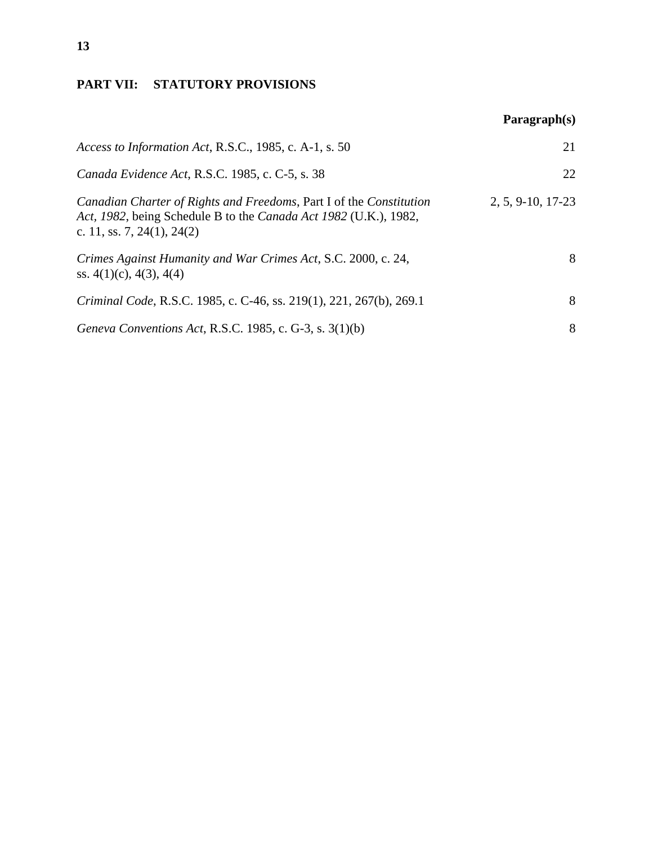## **PART VII: STATUTORY PROVISIONS**

|                                                                                                                                                                       | Paragnh(s)        |
|-----------------------------------------------------------------------------------------------------------------------------------------------------------------------|-------------------|
| Access to Information Act, R.S.C., 1985, c. A-1, s. 50                                                                                                                | 21                |
| Canada Evidence Act, R.S.C. 1985, c. C-5, s. 38                                                                                                                       | 22                |
| Canadian Charter of Rights and Freedoms, Part I of the Constitution<br>Act, 1982, being Schedule B to the Canada Act 1982 (U.K.), 1982,<br>c. 11, ss. 7, 24(1), 24(2) | 2, 5, 9-10, 17-23 |
| Crimes Against Humanity and War Crimes Act, S.C. 2000, c. 24,<br>ss. $4(1)(c)$ , $4(3)$ , $4(4)$                                                                      | 8                 |
| Criminal Code, R.S.C. 1985, c. C-46, ss. 219(1), 221, 267(b), 269.1                                                                                                   | 8                 |
| Geneva Conventions Act, R.S.C. 1985, c. G-3, s. 3(1)(b)                                                                                                               | 8                 |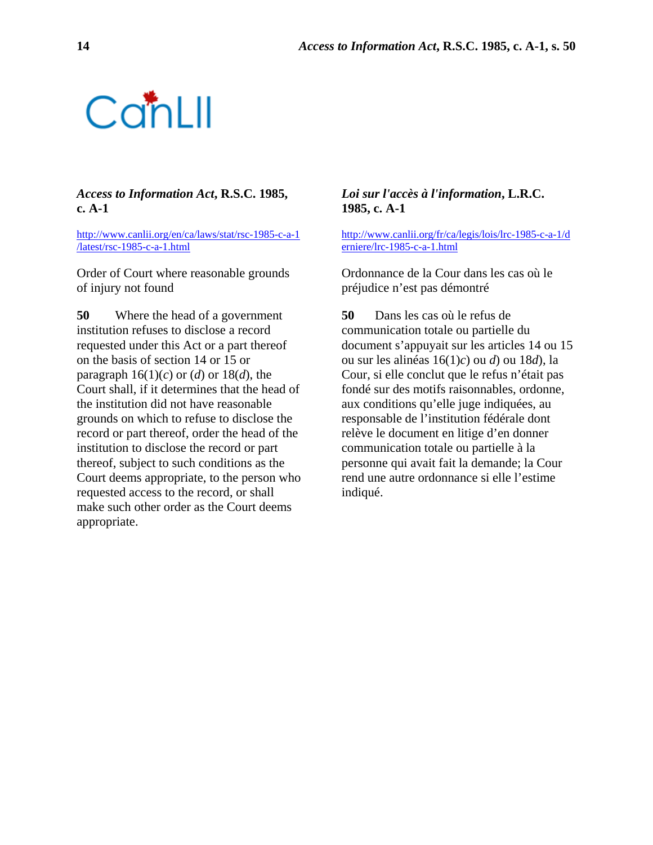

#### *Access to Information Act***, R.S.C. 1985, c. A-1**

[http://www.canlii.org/en/ca/laws/stat/rsc-1985-c-a-1](http://www.canlii.org/en/ca/laws/stat/rsc-1985-c-a-1/latest/rsc-1985-c-a-1.html) [/latest/rsc-1985-c-a-1.html](http://www.canlii.org/en/ca/laws/stat/rsc-1985-c-a-1/latest/rsc-1985-c-a-1.html)

Order of Court where reasonable grounds of injury not found

**50** Where the head of a government institution refuses to disclose a record requested under this Act or a part thereof on the basis of section 14 or 15 or paragraph  $16(1)(c)$  or  $(d)$  or  $18(d)$ , the Court shall, if it determines that the head of the institution did not have reasonable grounds on which to refuse to disclose the record or part thereof, order the head of the institution to disclose the record or part thereof, subject to such conditions as the Court deems appropriate, to the person who requested access to the record, or shall make such other order as the Court deems appropriate.

#### *Loi sur l'accès à l'information***, L.R.C. 1985, c. A-1**

[http://www.canlii.org/fr/ca/legis/lois/lrc-1985-c-a-1/d](http://www.canlii.org/fr/ca/legis/lois/lrc-1985-c-a-1/derniere/lrc-1985-c-a-1.html) [erniere/lrc-1985-c-a-1.html](http://www.canlii.org/fr/ca/legis/lois/lrc-1985-c-a-1/derniere/lrc-1985-c-a-1.html)

Ordonnance de la Cour dans les cas où le préjudice n'est pas démontré

**50** Dans les cas où le refus de communication totale ou partielle du document s'appuyait sur les articles 14 ou 15 ou sur les alinéas 16(1)*c*) ou *d*) ou 18*d*), la Cour, si elle conclut que le refus n'était pas fondé sur des motifs raisonnables, ordonne, aux conditions qu'elle juge indiquées, au responsable de l'institution fédérale dont relève le document en litige d'en donner communication totale ou partielle à la personne qui avait fait la demande; la Cour rend une autre ordonnance si elle l'estime indiqué.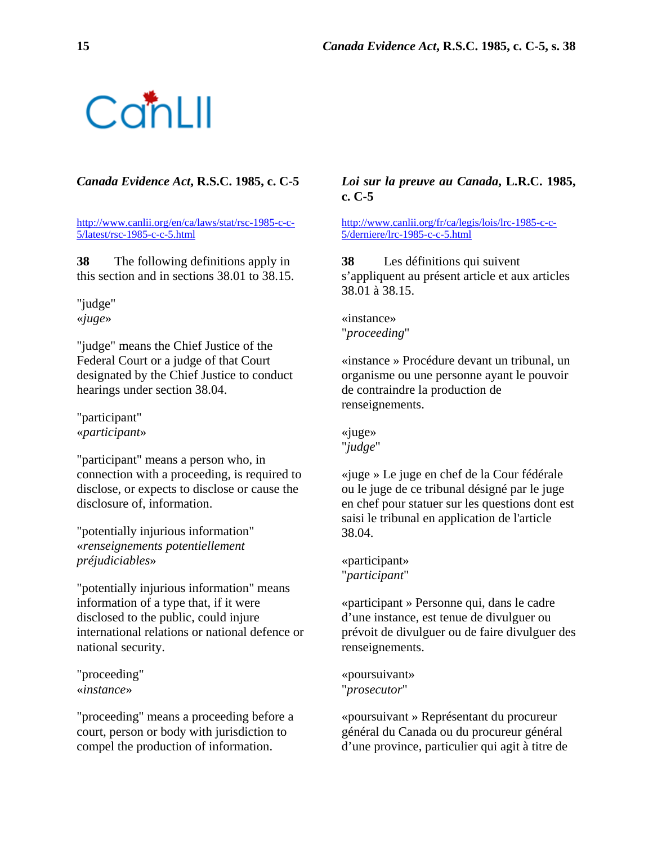# ConLII

[http://www.canlii.org/en/ca/laws/stat/rsc-1985-c-c-](http://www.canlii.org/en/ca/laws/stat/rsc-1985-c-c-5/latest/rsc-1985-c-c-5.html)[5/latest/rsc-1985-c-c-5.html](http://www.canlii.org/en/ca/laws/stat/rsc-1985-c-c-5/latest/rsc-1985-c-c-5.html)

**38** The following definitions apply in this section and in sections 38.01 to 38.15.

"judge" «*juge*»

"judge" means the Chief Justice of the Federal Court or a judge of that Court designated by the Chief Justice to conduct hearings under section 38.04.

"participant" «*participant*»

"participant" means a person who, in connection with a proceeding, is required to disclose, or expects to disclose or cause the disclosure of, information.

"potentially injurious information" «*renseignements potentiellement préjudiciables*»

"potentially injurious information" means information of a type that, if it were disclosed to the public, could injure international relations or national defence or national security.

"proceeding" «*instance*»

"proceeding" means a proceeding before a court, person or body with jurisdiction to compel the production of information.

## *Canada Evidence Act***, R.S.C. 1985, c. C-5** *Loi sur la preuve au Canada***, L.R.C. 1985, c. C-5**

[http://www.canlii.org/fr/ca/legis/lois/lrc-1985-c-c-](http://www.canlii.org/fr/ca/legis/lois/lrc-1985-c-c-5/derniere/lrc-1985-c-c-5.html)[5/derniere/lrc-1985-c-c-5.html](http://www.canlii.org/fr/ca/legis/lois/lrc-1985-c-c-5/derniere/lrc-1985-c-c-5.html)

**38** Les définitions qui suivent s'appliquent au présent article et aux articles 38.01 à 38.15.

«instance» "*proceeding*"

«instance » Procédure devant un tribunal, un organisme ou une personne ayant le pouvoir de contraindre la production de renseignements.

«juge» "*judge*"

«juge » Le juge en chef de la Cour fédérale ou le juge de ce tribunal désigné par le juge en chef pour statuer sur les questions dont est saisi le tribunal en application de l'article 38.04.

«participant» "*participant*"

«participant » Personne qui, dans le cadre d'une instance, est tenue de divulguer ou prévoit de divulguer ou de faire divulguer des renseignements.

«poursuivant» "*prosecutor*"

«poursuivant » Représentant du procureur général du Canada ou du procureur général d'une province, particulier qui agit à titre de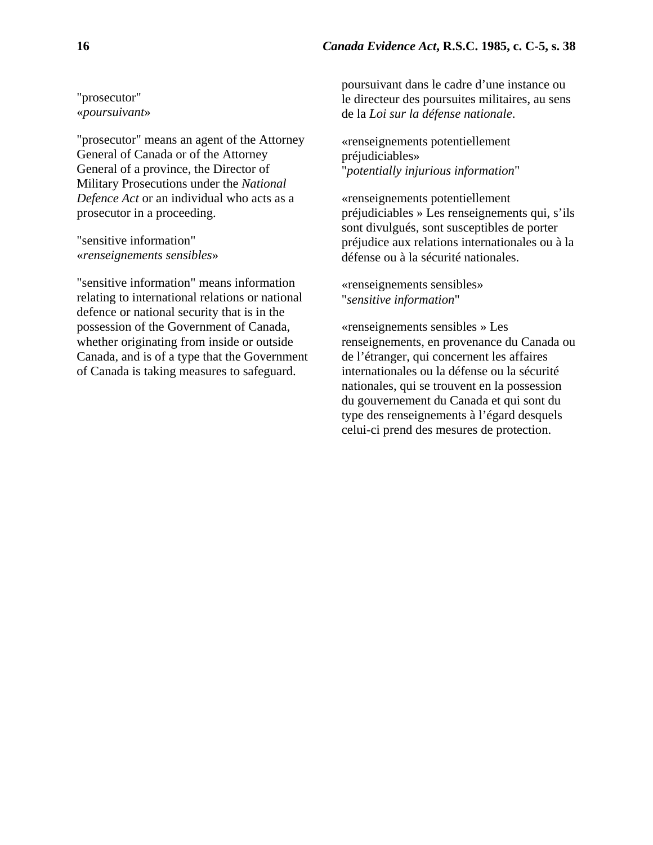"prosecutor" «*poursuivant*»

"prosecutor" means an agent of the Attorney General of Canada or of the Attorney General of a province, the Director of Military Prosecutions under the *National Defence Act* or an individual who acts as a prosecutor in a proceeding.

"sensitive information" «*renseignements sensibles*»

"sensitive information" means information relating to international relations or national defence or national security that is in the possession of the Government of Canada, whether originating from inside or outside Canada, and is of a type that the Government of Canada is taking measures to safeguard.

poursuivant dans le cadre d'une instance ou le directeur des poursuites militaires, au sens de la *Loi sur la défense nationale*.

«renseignements potentiellement préjudiciables» "*potentially injurious information*"

«renseignements potentiellement préjudiciables » Les renseignements qui, s'ils sont divulgués, sont susceptibles de porter préjudice aux relations internationales ou à la défense ou à la sécurité nationales.

«renseignements sensibles» "*sensitive information*"

«renseignements sensibles » Les renseignements, en provenance du Canada ou de l'étranger, qui concernent les affaires internationales ou la défense ou la sécurité nationales, qui se trouvent en la possession du gouvernement du Canada et qui sont du type des renseignements à l'égard desquels celui-ci prend des mesures de protection.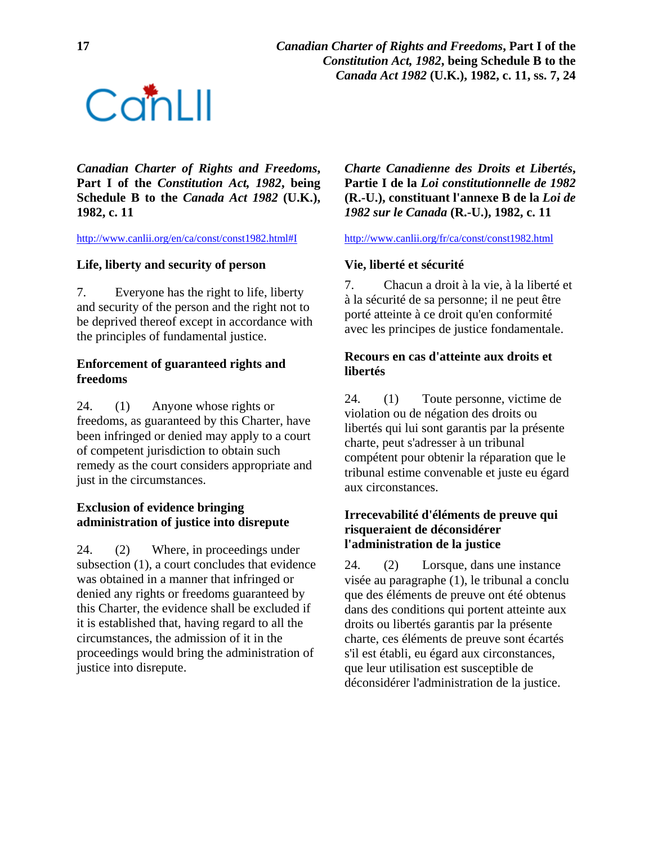**17** *Canadian Charter of Rights and Freedoms***, Part I of the**   *Constitution Act, 1982***, being Schedule B to the**  *Canada Act 1982* **(U.K.), 1982, c. 11, ss. 7, 24** 



*Canadian Charter of Rights and Freedoms***, Part I of the** *Constitution Act, 1982***, being Schedule B to the** *Canada Act 1982* **(U.K.), 1982, c. 11**

<http://www.canlii.org/en/ca/const/const1982.html#I> <http://www.canlii.org/fr/ca/const/const1982.html>

### **Life, liberty and security of person**

7. Everyone has the right to life, liberty and security of the person and the right not to be deprived thereof except in accordance with the principles of fundamental justice.

### **Enforcement of guaranteed rights and freedoms**

24. (1) Anyone whose rights or freedoms, as guaranteed by this Charter, have been infringed or denied may apply to a court of competent jurisdiction to obtain such remedy as the court considers appropriate and just in the circumstances.

#### **Exclusion of evidence bringing administration of justice into disrepute**

24. (2) Where, in proceedings under subsection (1), a court concludes that evidence was obtained in a manner that infringed or denied any rights or freedoms guaranteed by this Charter, the evidence shall be excluded if it is established that, having regard to all the circumstances, the admission of it in the proceedings would bring the administration of justice into disrepute.

*Charte Canadienne des Droits et Libertés***, Partie I de la** *Loi constitutionnelle de 1982* **(R.-U.), constituant l'annexe B de la** *Loi de 1982 sur le Canada* **(R.-U.), 1982, c. 11**

### **Vie, liberté et sécurité**

7. Chacun a droit à la vie, à la liberté et à la sécurité de sa personne; il ne peut être porté atteinte à ce droit qu'en conformité avec les principes de justice fondamentale.

#### **Recours en cas d'atteinte aux droits et libertés**

24. (1) Toute personne, victime de violation ou de négation des droits ou libertés qui lui sont garantis par la présente charte, peut s'adresser à un tribunal compétent pour obtenir la réparation que le tribunal estime convenable et juste eu égard aux circonstances.

#### **Irrecevabilité d'éléments de preuve qui risqueraient de déconsidérer l'administration de la justice**

24. (2) Lorsque, dans une instance visée au paragraphe (1), le tribunal a conclu que des éléments de preuve ont été obtenus dans des conditions qui portent atteinte aux droits ou libertés garantis par la présente charte, ces éléments de preuve sont écartés s'il est établi, eu égard aux circonstances, que leur utilisation est susceptible de déconsidérer l'administration de la justice.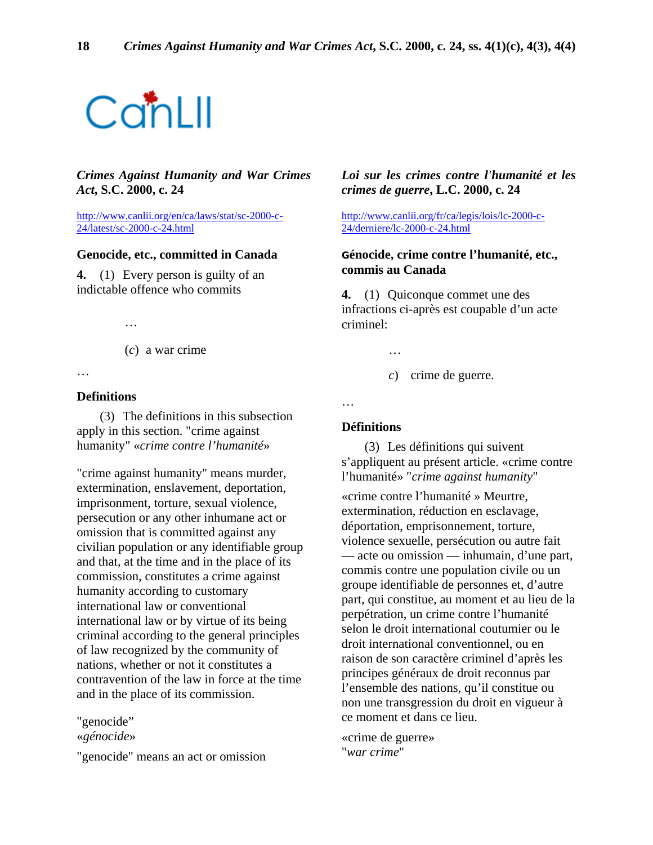# ConLII

#### *Crimes Against Humanity and War Crimes Act***, S.C. 2000, c. 24**

[http://www.canlii.org/en/ca/laws/stat/sc-2000-c-](http://www.canlii.org/en/ca/laws/stat/sc-2000-c-24/latest/sc-2000-c-24.html)[24/latest/sc-2000-c-24.html](http://www.canlii.org/en/ca/laws/stat/sc-2000-c-24/latest/sc-2000-c-24.html)

#### **Genocide, etc., committed in Canada**

**4.** (1) Every person is guilty of an indictable offence who commits

…

(*c*) a war crime

…

#### **Definitions**

 (3) The definitions in this subsection apply in this section. "crime against humanity" «*crime contre l'humanité*»

"crime against humanity" means murder, extermination, enslavement, deportation, imprisonment, torture, sexual violence, persecution or any other inhumane act or omission that is committed against any civilian population or any identifiable group and that, at the time and in the place of its commission, constitutes a crime against humanity according to customary international law or conventional international law or by virtue of its being criminal according to the general principles of law recognized by the community of nations, whether or not it constitutes a contravention of the law in force at the time and in the place of its commission.

"genocide"

«*génocide*»

"genocide" means an act or omission

#### *Loi sur les crimes contre l'humanité et les crimes de guerre***, L.C. 2000, c. 24**

[http://www.canlii.org/fr/ca/legis/lois/lc-2000-c-](http://www.canlii.org/fr/ca/legis/lois/lc-2000-c-24/derniere/lc-2000-c-24.html)[24/derniere/lc-2000-c-24.html](http://www.canlii.org/fr/ca/legis/lois/lc-2000-c-24/derniere/lc-2000-c-24.html)

#### **Génocide, crime contre l'humanité, etc., commis au Canada**

**4.** (1) Quiconque commet une des infractions ci-après est coupable d'un acte criminel:

…

*c*) crime de guerre.

…

#### **Définitions**

 (3) Les définitions qui suivent s'appliquent au présent article. «crime contre l'humanité» "*crime against humanity*"

«crime contre l'humanité » Meurtre, extermination, réduction en esclavage, déportation, emprisonnement, torture, violence sexuelle, persécution ou autre fait — acte ou omission — inhumain, d'une part, commis contre une population civile ou un groupe identifiable de personnes et, d'autre part, qui constitue, au moment et au lieu de la perpétration, un crime contre l'humanité selon le droit international coutumier ou le droit international conventionnel, ou en raison de son caractère criminel d'après les principes généraux de droit reconnus par l'ensemble des nations, qu'il constitue ou non une transgression du droit en vigueur à ce moment et dans ce lieu.

«crime de guerre» "*war crime*"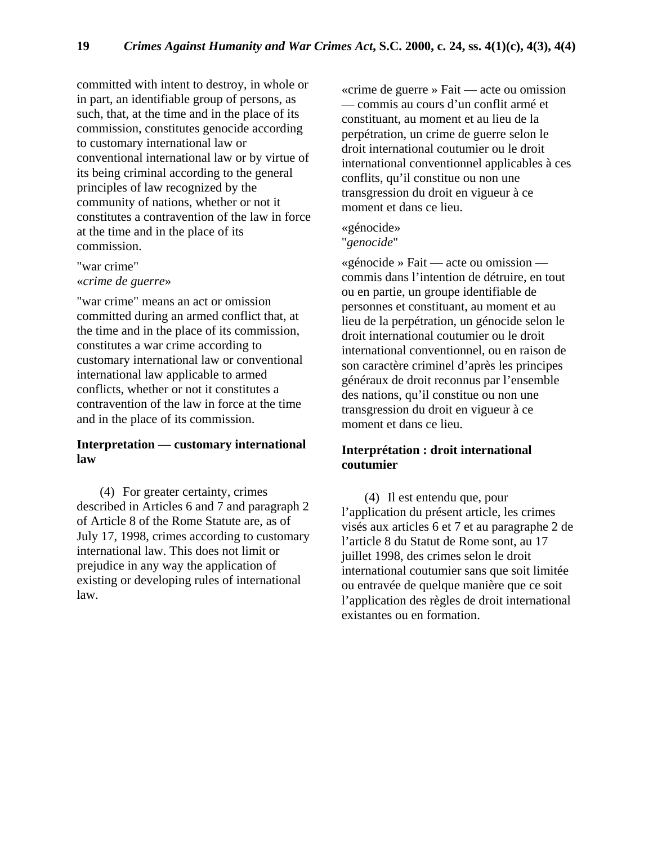committed with intent to destroy, in whole or in part, an identifiable group of persons, as such, that, at the time and in the place of its commission, constitutes genocide according to customary international law or conventional international law or by virtue of its being criminal according to the general principles of law recognized by the community of nations, whether or not it constitutes a contravention of the law in force at the time and in the place of its commission.

"war crime" «*crime de guerre*»

"war crime" means an act or omission committed during an armed conflict that, at the time and in the place of its commission, constitutes a war crime according to customary international law or conventional international law applicable to armed conflicts, whether or not it constitutes a contravention of the law in force at the time and in the place of its commission.

#### **Interpretation — customary international law**

 (4) For greater certainty, crimes described in Articles 6 and 7 and paragraph 2 of Article 8 of the Rome Statute are, as of July 17, 1998, crimes according to customary international law. This does not limit or prejudice in any way the application of existing or developing rules of international law.

«crime de guerre » Fait — acte ou omission — commis au cours d'un conflit armé et constituant, au moment et au lieu de la perpétration, un crime de guerre selon le droit international coutumier ou le droit international conventionnel applicables à ces conflits, qu'il constitue ou non une transgression du droit en vigueur à ce moment et dans ce lieu.

## «génocide»

"*genocide*"

«génocide » Fait — acte ou omission commis dans l'intention de détruire, en tout ou en partie, un groupe identifiable de personnes et constituant, au moment et au lieu de la perpétration, un génocide selon le droit international coutumier ou le droit international conventionnel, ou en raison de son caractère criminel d'après les principes généraux de droit reconnus par l'ensemble des nations, qu'il constitue ou non une transgression du droit en vigueur à ce moment et dans ce lieu.

### **Interprétation : droit international coutumier**

 (4) Il est entendu que, pour l'application du présent article, les crimes visés aux articles 6 et 7 et au paragraphe 2 de l'article 8 du Statut de Rome sont, au 17 juillet 1998, des crimes selon le droit international coutumier sans que soit limitée ou entravée de quelque manière que ce soit l'application des règles de droit international existantes ou en formation.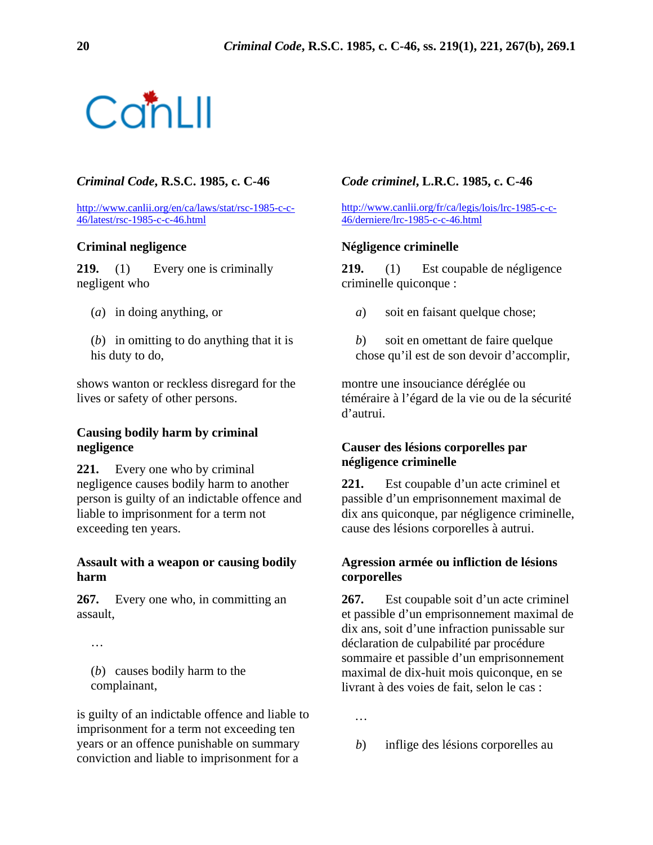

#### *Criminal Code***, R.S.C. 1985, c. C-46** *Code criminel***, L.R.C. 1985, c. C-46**

[http://www.canlii.org/en/ca/laws/stat/rsc-1985-c-c-](http://www.canlii.org/en/ca/laws/stat/rsc-1985-c-c-46/latest/rsc-1985-c-c-46.html)[46/latest/rsc-1985-c-c-46.html](http://www.canlii.org/en/ca/laws/stat/rsc-1985-c-c-46/latest/rsc-1985-c-c-46.html)

#### **Criminal negligence**

219. (1) Every one is criminally negligent who

- (*a*) in doing anything, or
- (*b*) in omitting to do anything that it is his duty to do,

shows wanton or reckless disregard for the lives or safety of other persons.

#### **Causing bodily harm by criminal negligence**

**221.** Every one who by criminal negligence causes bodily harm to another person is guilty of an indictable offence and liable to imprisonment for a term not exceeding ten years.

#### **Assault with a weapon or causing bodily harm**

**267.** Every one who, in committing an assault,

…

(*b*) causes bodily harm to the complainant,

is guilty of an indictable offence and liable to imprisonment for a term not exceeding ten years or an offence punishable on summary conviction and liable to imprisonment for a

[http://www.canlii.org/fr/ca/legis/lois/lrc-1985-c-c-](http://www.canlii.org/fr/ca/legis/lois/lrc-1985-c-c-46/derniere/lrc-1985-c-c-46.html)[46/derniere/lrc-1985-c-c-46.html](http://www.canlii.org/fr/ca/legis/lois/lrc-1985-c-c-46/derniere/lrc-1985-c-c-46.html)

#### **Négligence criminelle**

**219.** (1) Est coupable de négligence criminelle quiconque :

- *a*) soit en faisant quelque chose;
- *b*) soit en omettant de faire quelque chose qu'il est de son devoir d'accomplir,

montre une insouciance déréglée ou téméraire à l'égard de la vie ou de la sécurité d'autrui.

#### **Causer des lésions corporelles par négligence criminelle**

**221.** Est coupable d'un acte criminel et passible d'un emprisonnement maximal de dix ans quiconque, par négligence criminelle, cause des lésions corporelles à autrui.

#### **Agression armée ou infliction de lésions corporelles**

**267.** Est coupable soit d'un acte criminel et passible d'un emprisonnement maximal de dix ans, soit d'une infraction punissable sur déclaration de culpabilité par procédure sommaire et passible d'un emprisonnement maximal de dix-huit mois quiconque, en se livrant à des voies de fait, selon le cas :

*b*) inflige des lésions corporelles au

*…*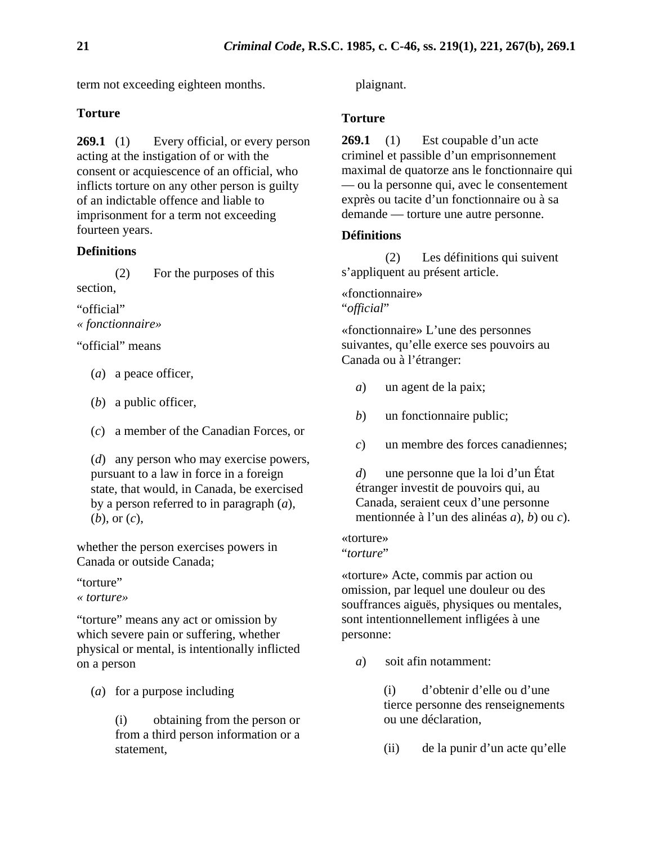term not exceeding eighteen months.

### **Torture**

269.1 (1) Every official, or every person acting at the instigation of or with the consent or acquiescence of an official, who inflicts torture on any other person is guilty of an indictable offence and liable to imprisonment for a term not exceeding fourteen years.

#### **Definitions**

 (2) For the purposes of this section,

"official" *« fonctionnaire»* 

"official" means

- (*a*) a peace officer,
- (*b*) a public officer,
- (*c*) a member of the Canadian Forces, or

(*d*) any person who may exercise powers, pursuant to a law in force in a foreign state, that would, in Canada, be exercised by a person referred to in paragraph (*a*), (*b*), or (*c*),

whether the person exercises powers in Canada or outside Canada;

"torture"

*« torture»* 

"torture" means any act or omission by which severe pain or suffering, whether physical or mental, is intentionally inflicted on a person

(*a*) for a purpose including

(i) obtaining from the person or from a third person information or a statement,

plaignant.

#### **Torture**

**269.1** (1) Est coupable d'un acte criminel et passible d'un emprisonnement maximal de quatorze ans le fonctionnaire qui — ou la personne qui, avec le consentement exprès ou tacite d'un fonctionnaire ou à sa demande — torture une autre personne.

#### **Définitions**

 (2) Les définitions qui suivent s'appliquent au présent article.

«fonctionnaire» "*official*"

«fonctionnaire» L'une des personnes suivantes, qu'elle exerce ses pouvoirs au Canada ou à l'étranger:

- *a*) un agent de la paix;
- *b*) un fonctionnaire public;
- *c*) un membre des forces canadiennes;

*d*) une personne que la loi d'un État étranger investit de pouvoirs qui, au Canada, seraient ceux d'une personne mentionnée à l'un des alinéas *a*), *b*) ou *c*).

«torture» "*torture*"

«torture» Acte, commis par action ou omission, par lequel une douleur ou des souffrances aiguës, physiques ou mentales, sont intentionnellement infligées à une personne:

*a*) soit afin notamment:

(i) d'obtenir d'elle ou d'une tierce personne des renseignements ou une déclaration,

(ii) de la punir d'un acte qu'elle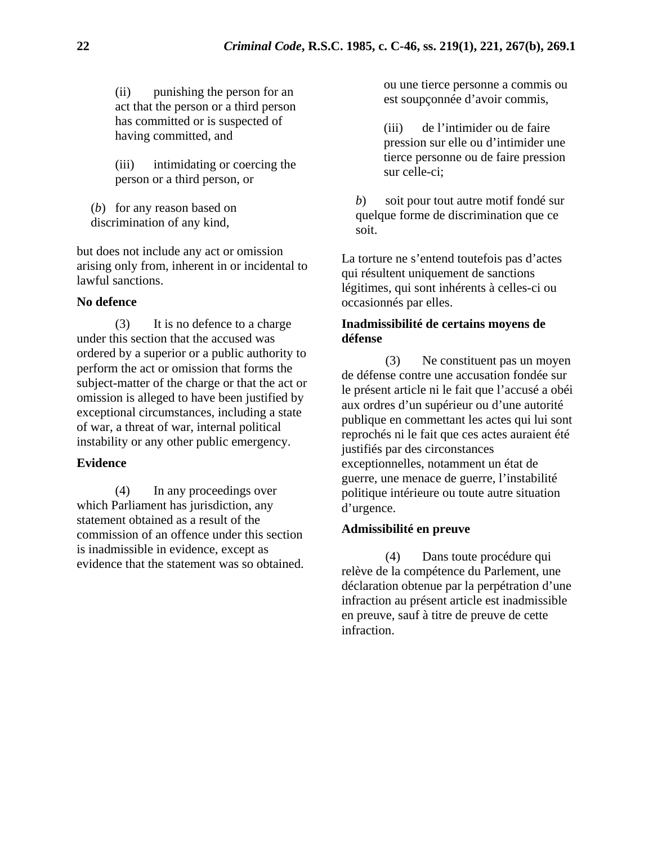(ii) punishing the person for an act that the person or a third person has committed or is suspected of having committed, and

(iii) intimidating or coercing the person or a third person, or

(*b*) for any reason based on discrimination of any kind,

but does not include any act or omission arising only from, inherent in or incidental to lawful sanctions.

#### **No defence**

 (3) It is no defence to a charge under this section that the accused was ordered by a superior or a public authority to perform the act or omission that forms the subject-matter of the charge or that the act or omission is alleged to have been justified by exceptional circumstances, including a state of war, a threat of war, internal political instability or any other public emergency.

#### **Evidence**

 (4) In any proceedings over which Parliament has jurisdiction, any statement obtained as a result of the commission of an offence under this section is inadmissible in evidence, except as evidence that the statement was so obtained. ou une tierce personne a commis ou est soupçonnée d'avoir commis,

(iii) de l'intimider ou de faire pression sur elle ou d'intimider une tierce personne ou de faire pression sur celle-ci;

*b*) soit pour tout autre motif fondé sur quelque forme de discrimination que ce soit.

La torture ne s'entend toutefois pas d'actes qui résultent uniquement de sanctions légitimes, qui sont inhérents à celles-ci ou occasionnés par elles.

#### **Inadmissibilité de certains moyens de défense**

 (3) Ne constituent pas un moyen de défense contre une accusation fondée sur le présent article ni le fait que l'accusé a obéi aux ordres d'un supérieur ou d'une autorité publique en commettant les actes qui lui sont reprochés ni le fait que ces actes auraient été justifiés par des circonstances exceptionnelles, notamment un état de guerre, une menace de guerre, l'instabilité politique intérieure ou toute autre situation d'urgence.

#### **Admissibilité en preuve**

 (4) Dans toute procédure qui relève de la compétence du Parlement, une déclaration obtenue par la perpétration d'une infraction au présent article est inadmissible en preuve, sauf à titre de preuve de cette infraction.